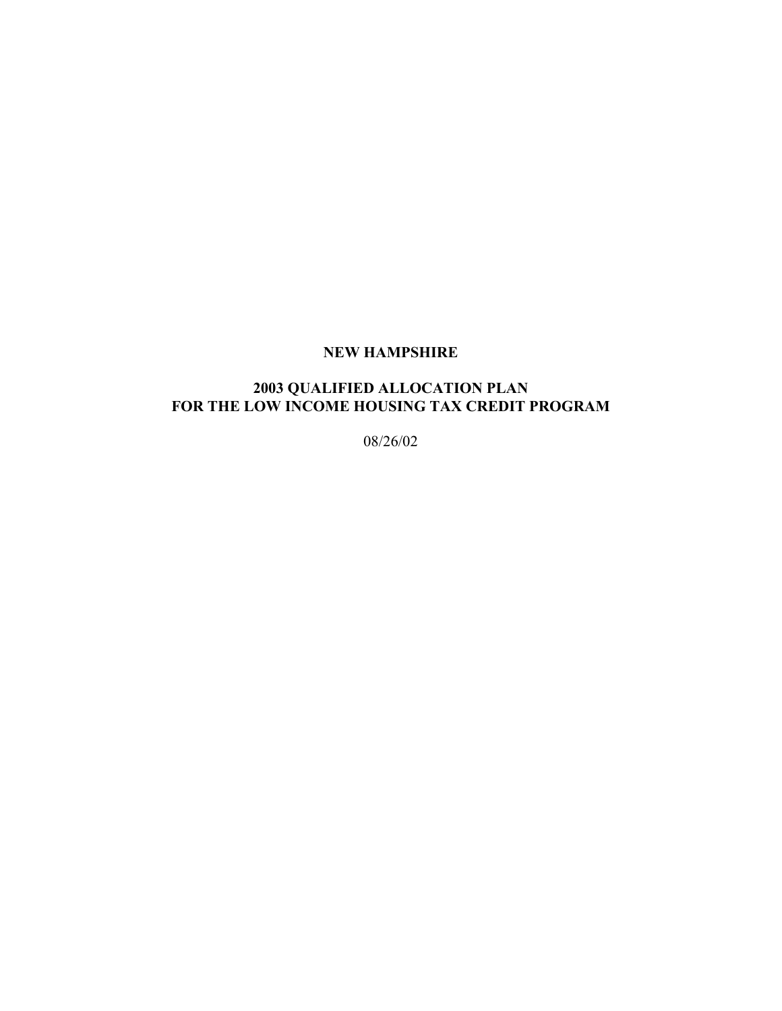## **NEW HAMPSHIRE**

## **2003 QUALIFIED ALLOCATION PLAN**  FOR THE LOW INCOME HOUSING TAX CREDIT PROGRAM

08/26/02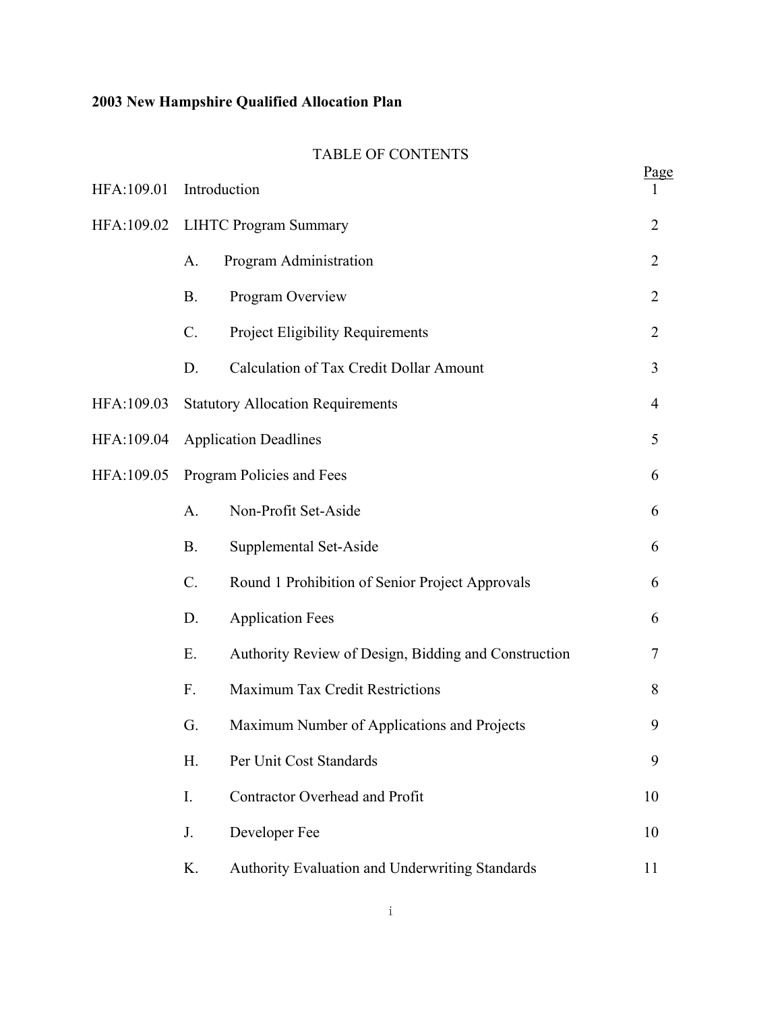## TABLE OF CONTENTS

| HFA:109.01 |                                          | Introduction                                         | <u>Page</u>    |
|------------|------------------------------------------|------------------------------------------------------|----------------|
| HFA:109.02 | <b>LIHTC Program Summary</b>             |                                                      | $\overline{2}$ |
|            | A.                                       | Program Administration                               | $\overline{2}$ |
|            | <b>B.</b>                                | Program Overview                                     | $\overline{2}$ |
|            | $C$ .                                    | <b>Project Eligibility Requirements</b>              | $\overline{2}$ |
|            | D.                                       | <b>Calculation of Tax Credit Dollar Amount</b>       | 3              |
| HFA:109.03 | <b>Statutory Allocation Requirements</b> |                                                      | $\overline{4}$ |
| HFA:109.04 | <b>Application Deadlines</b>             |                                                      | 5              |
| HFA:109.05 | Program Policies and Fees                |                                                      | 6              |
|            | A.                                       | Non-Profit Set-Aside                                 | 6              |
|            | <b>B.</b>                                | Supplemental Set-Aside                               | 6              |
|            | $C$ .                                    | Round 1 Prohibition of Senior Project Approvals      | 6              |
|            | D.                                       | <b>Application Fees</b>                              | 6              |
|            | Ε.                                       | Authority Review of Design, Bidding and Construction | 7              |
|            | F.                                       | Maximum Tax Credit Restrictions                      | 8              |
|            | G.                                       | Maximum Number of Applications and Projects          | 9              |
|            | H.                                       | Per Unit Cost Standards                              | 9              |
|            | I.                                       | <b>Contractor Overhead and Profit</b>                | 10             |
|            | J.                                       | Developer Fee                                        | 10             |
|            | K.                                       | Authority Evaluation and Underwriting Standards      | 11             |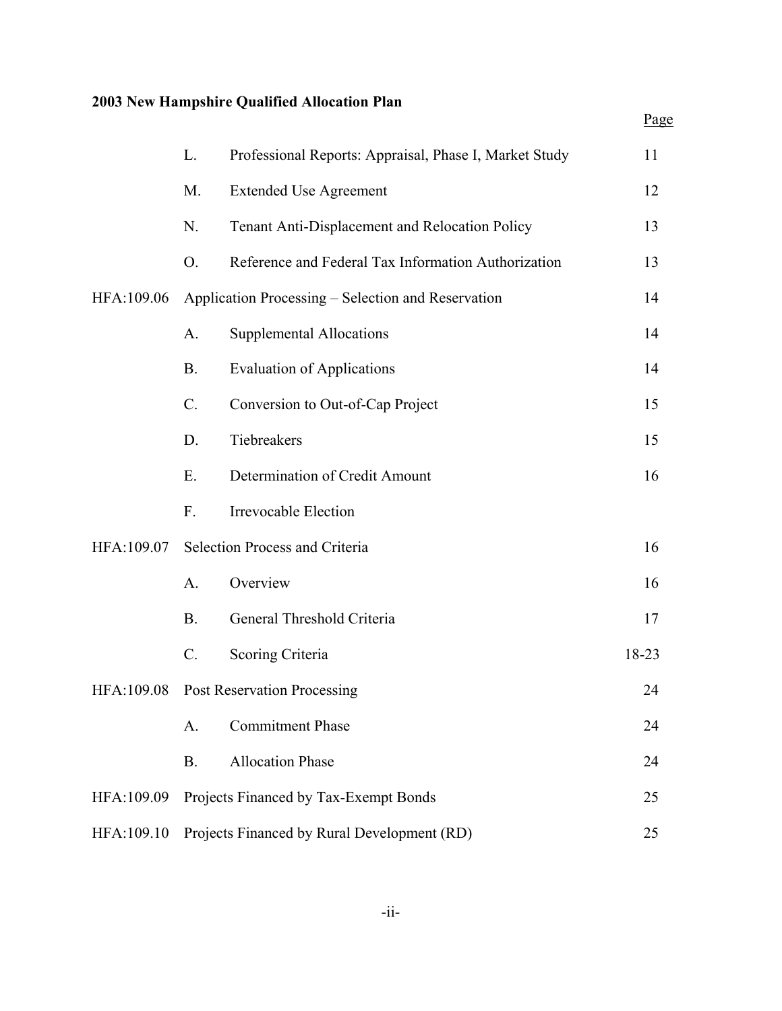|            |           |                                                        | Page  |
|------------|-----------|--------------------------------------------------------|-------|
|            | L.        | Professional Reports: Appraisal, Phase I, Market Study | 11    |
|            | M.        | <b>Extended Use Agreement</b>                          | 12    |
|            | N.        | Tenant Anti-Displacement and Relocation Policy         | 13    |
|            | O.        | Reference and Federal Tax Information Authorization    | 13    |
| HFA:109.06 |           | Application Processing – Selection and Reservation     | 14    |
|            | A.        | <b>Supplemental Allocations</b>                        | 14    |
|            | <b>B.</b> | <b>Evaluation of Applications</b>                      | 14    |
|            | $C$ .     | Conversion to Out-of-Cap Project                       | 15    |
|            | D.        | Tiebreakers                                            | 15    |
|            | E.        | Determination of Credit Amount                         | 16    |
|            | F.        | Irrevocable Election                                   |       |
| HFA:109.07 |           | Selection Process and Criteria                         | 16    |
|            | $A$ .     | Overview                                               | 16    |
|            | <b>B.</b> | General Threshold Criteria                             | 17    |
|            | $C$ .     | Scoring Criteria                                       | 18-23 |
| HFA:109.08 |           | <b>Post Reservation Processing</b>                     | 24    |
|            | A.        | <b>Commitment Phase</b>                                | 24    |
|            | <b>B.</b> | <b>Allocation Phase</b>                                | 24    |
| HFA:109.09 |           | Projects Financed by Tax-Exempt Bonds                  | 25    |
| HFA:109.10 |           | Projects Financed by Rural Development (RD)            | 25    |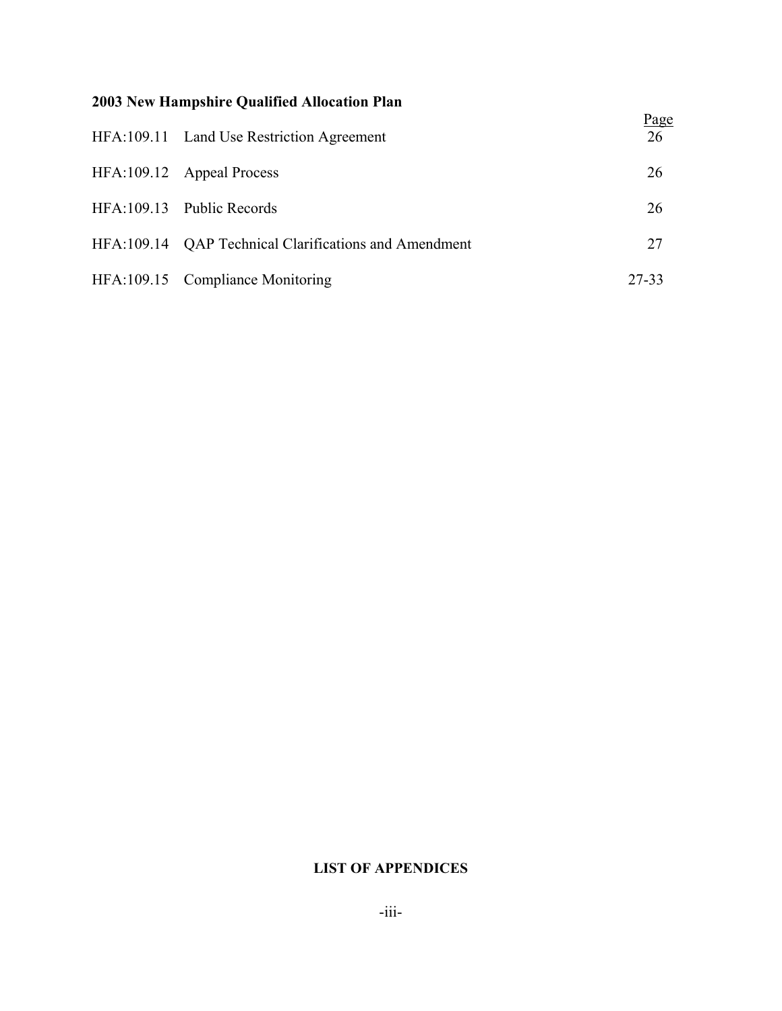| HFA:109.11 Land Use Restriction Agreement             | <u>Page</u><br>26 |
|-------------------------------------------------------|-------------------|
| HFA:109.12 Appeal Process                             | 26                |
| HFA:109.13 Public Records                             | 26                |
| HFA:109.14 QAP Technical Clarifications and Amendment | 27                |
| HFA:109.15 Compliance Monitoring                      | 27-33             |

## **LIST OF APPENDICES**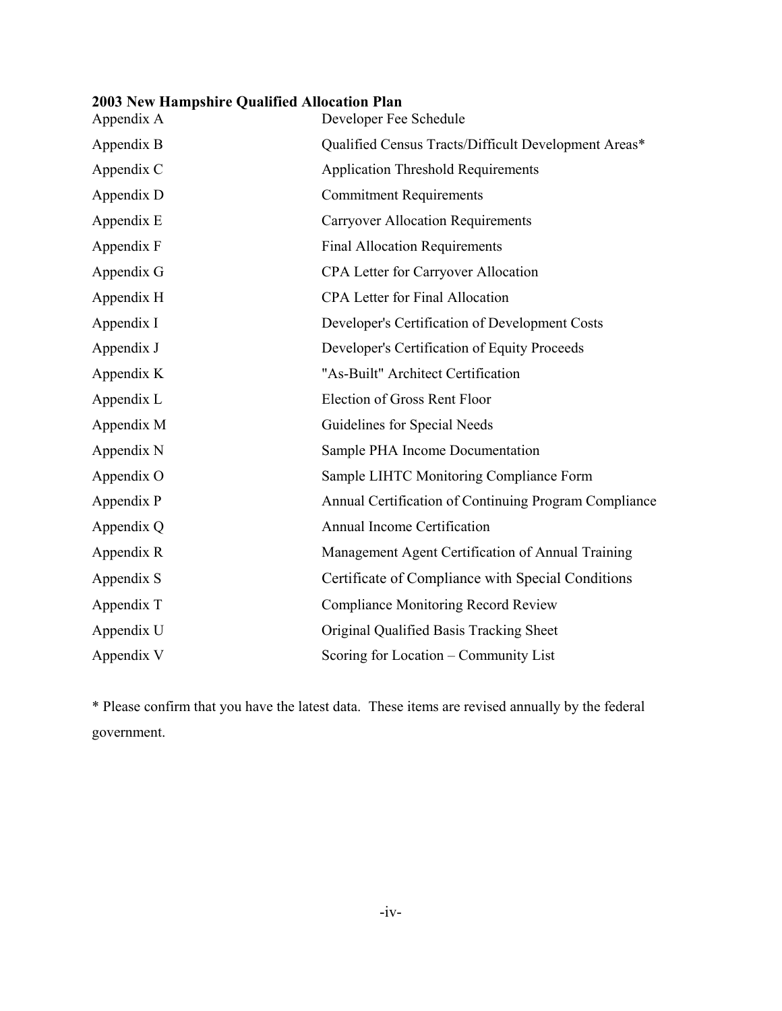| Appendix A | Developer Fee Schedule                                |
|------------|-------------------------------------------------------|
| Appendix B | Qualified Census Tracts/Difficult Development Areas*  |
| Appendix C | <b>Application Threshold Requirements</b>             |
| Appendix D | <b>Commitment Requirements</b>                        |
| Appendix E | <b>Carryover Allocation Requirements</b>              |
| Appendix F | <b>Final Allocation Requirements</b>                  |
| Appendix G | CPA Letter for Carryover Allocation                   |
| Appendix H | <b>CPA Letter for Final Allocation</b>                |
| Appendix I | Developer's Certification of Development Costs        |
| Appendix J | Developer's Certification of Equity Proceeds          |
| Appendix K | "As-Built" Architect Certification                    |
| Appendix L | Election of Gross Rent Floor                          |
| Appendix M | Guidelines for Special Needs                          |
| Appendix N | Sample PHA Income Documentation                       |
| Appendix O | Sample LIHTC Monitoring Compliance Form               |
| Appendix P | Annual Certification of Continuing Program Compliance |
| Appendix Q | <b>Annual Income Certification</b>                    |
| Appendix R | Management Agent Certification of Annual Training     |
| Appendix S | Certificate of Compliance with Special Conditions     |
| Appendix T | <b>Compliance Monitoring Record Review</b>            |
| Appendix U | Original Qualified Basis Tracking Sheet               |
| Appendix V | Scoring for Location – Community List                 |

\* Please confirm that you have the latest data. These items are revised annually by the federal government.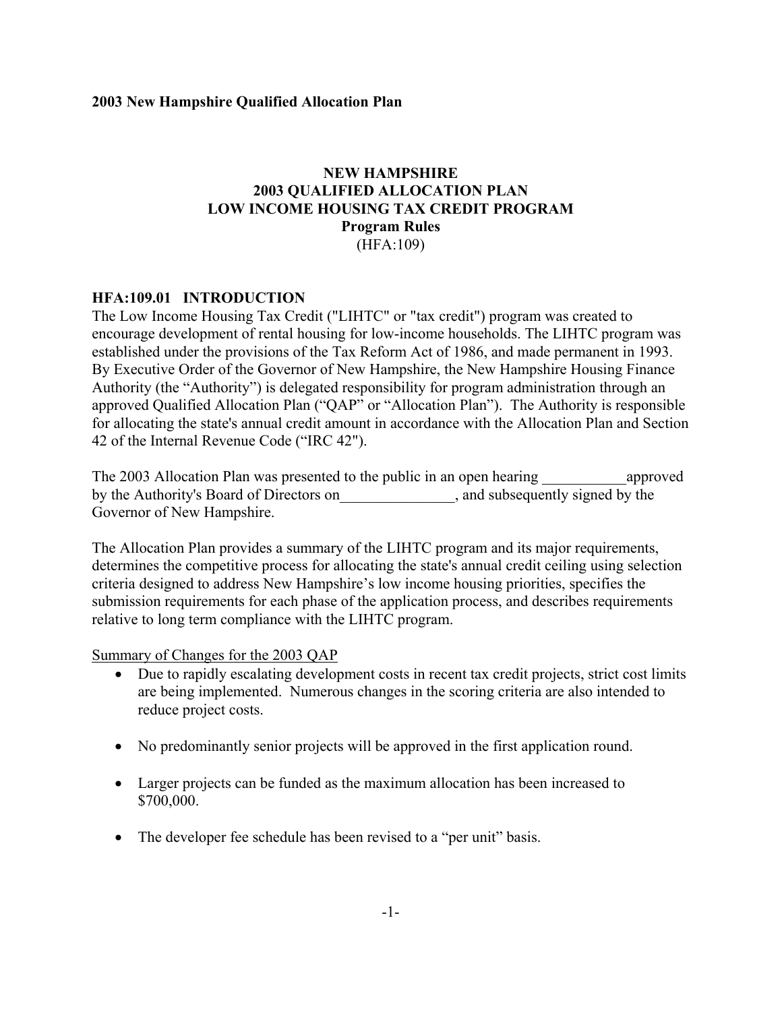## **NEW HAMPSHIRE 2003 QUALIFIED ALLOCATION PLAN LOW INCOME HOUSING TAX CREDIT PROGRAM Program Rules** (HFA:109)

### **HFA:109.01 INTRODUCTION**

The Low Income Housing Tax Credit ("LIHTC" or "tax credit") program was created to encourage development of rental housing for low-income households. The LIHTC program was established under the provisions of the Tax Reform Act of 1986, and made permanent in 1993. By Executive Order of the Governor of New Hampshire, the New Hampshire Housing Finance Authority (the "Authority") is delegated responsibility for program administration through an approved Qualified Allocation Plan ("QAP" or "Allocation Plan"). The Authority is responsible for allocating the state's annual credit amount in accordance with the Allocation Plan and Section 42 of the Internal Revenue Code ("IRC 42").

The 2003 Allocation Plan was presented to the public in an open hearing approved by the Authority's Board of Directors on\_\_\_\_\_\_\_\_\_\_\_\_\_\_\_, and subsequently signed by the Governor of New Hampshire.

The Allocation Plan provides a summary of the LIHTC program and its major requirements, determines the competitive process for allocating the state's annual credit ceiling using selection criteria designed to address New Hampshire's low income housing priorities, specifies the submission requirements for each phase of the application process, and describes requirements relative to long term compliance with the LIHTC program.

Summary of Changes for the 2003 QAP

- Due to rapidly escalating development costs in recent tax credit projects, strict cost limits are being implemented. Numerous changes in the scoring criteria are also intended to reduce project costs.
- No predominantly senior projects will be approved in the first application round.
- Larger projects can be funded as the maximum allocation has been increased to \$700,000.
- The developer fee schedule has been revised to a "per unit" basis.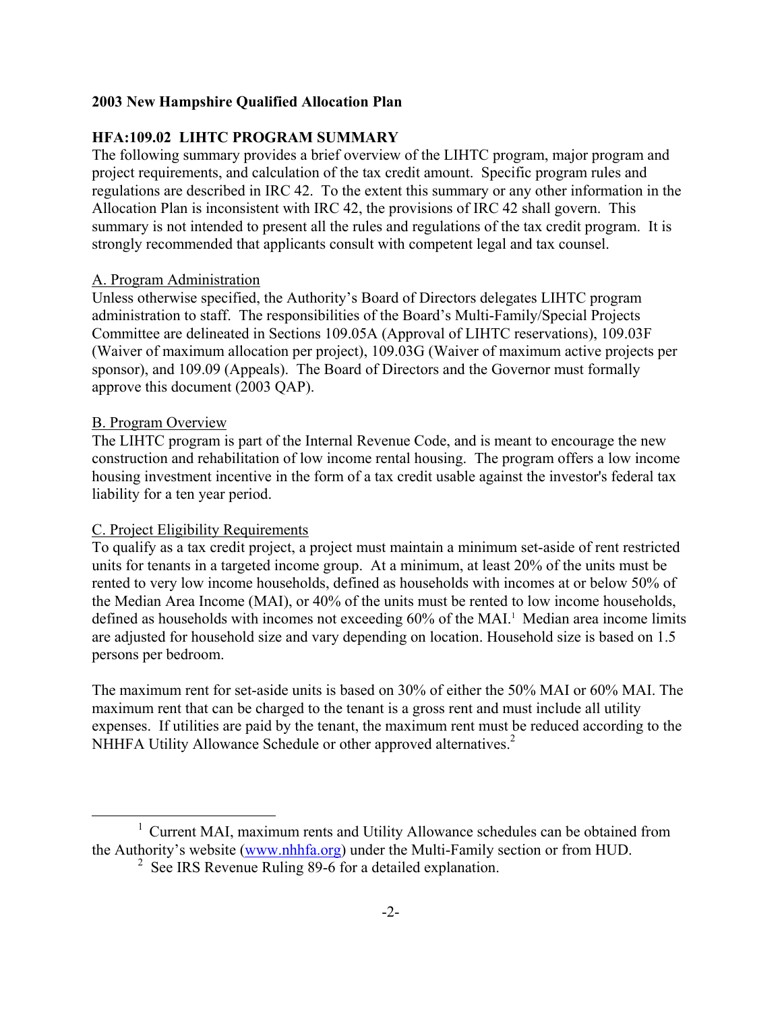## **HFA:109.02 LIHTC PROGRAM SUMMARY**

The following summary provides a brief overview of the LIHTC program, major program and project requirements, and calculation of the tax credit amount. Specific program rules and regulations are described in IRC 42. To the extent this summary or any other information in the Allocation Plan is inconsistent with IRC 42, the provisions of IRC 42 shall govern. This summary is not intended to present all the rules and regulations of the tax credit program. It is strongly recommended that applicants consult with competent legal and tax counsel.

#### A. Program Administration

Unless otherwise specified, the Authority's Board of Directors delegates LIHTC program administration to staff. The responsibilities of the Board's Multi-Family/Special Projects Committee are delineated in Sections 109.05A (Approval of LIHTC reservations), 109.03F (Waiver of maximum allocation per project), 109.03G (Waiver of maximum active projects per sponsor), and 109.09 (Appeals). The Board of Directors and the Governor must formally approve this document (2003 QAP).

#### B. Program Overview

j.

The LIHTC program is part of the Internal Revenue Code, and is meant to encourage the new construction and rehabilitation of low income rental housing. The program offers a low income housing investment incentive in the form of a tax credit usable against the investor's federal tax liability for a ten year period.

#### C. Project Eligibility Requirements

To qualify as a tax credit project, a project must maintain a minimum set-aside of rent restricted units for tenants in a targeted income group. At a minimum, at least 20% of the units must be rented to very low income households, defined as households with incomes at or below 50% of the Median Area Income (MAI), or 40% of the units must be rented to low income households, defined as households with incomes not exceeding 60% of the MAI.<sup>1</sup> Median area income limits are adjusted for household size and vary depending on location. Household size is based on 1.5 persons per bedroom.

The maximum rent for set-aside units is based on 30% of either the 50% MAI or 60% MAI. The maximum rent that can be charged to the tenant is a gross rent and must include all utility expenses. If utilities are paid by the tenant, the maximum rent must be reduced according to the NHHFA Utility Allowance Schedule or other approved alternatives.<sup>[2](#page-7-1)</sup>

<sup>&</sup>lt;sup>1</sup> Current MAI, maximum rents and Utility Allowance schedules can be obtained from the Authority's website ([www.nhhfa.org](http://www.nhhfa.org/)) under the Multi-Family section or from HUD.

<span id="page-7-1"></span><span id="page-7-0"></span><sup>&</sup>lt;sup>2</sup> See IRS Revenue Ruling 89-6 for a detailed explanation.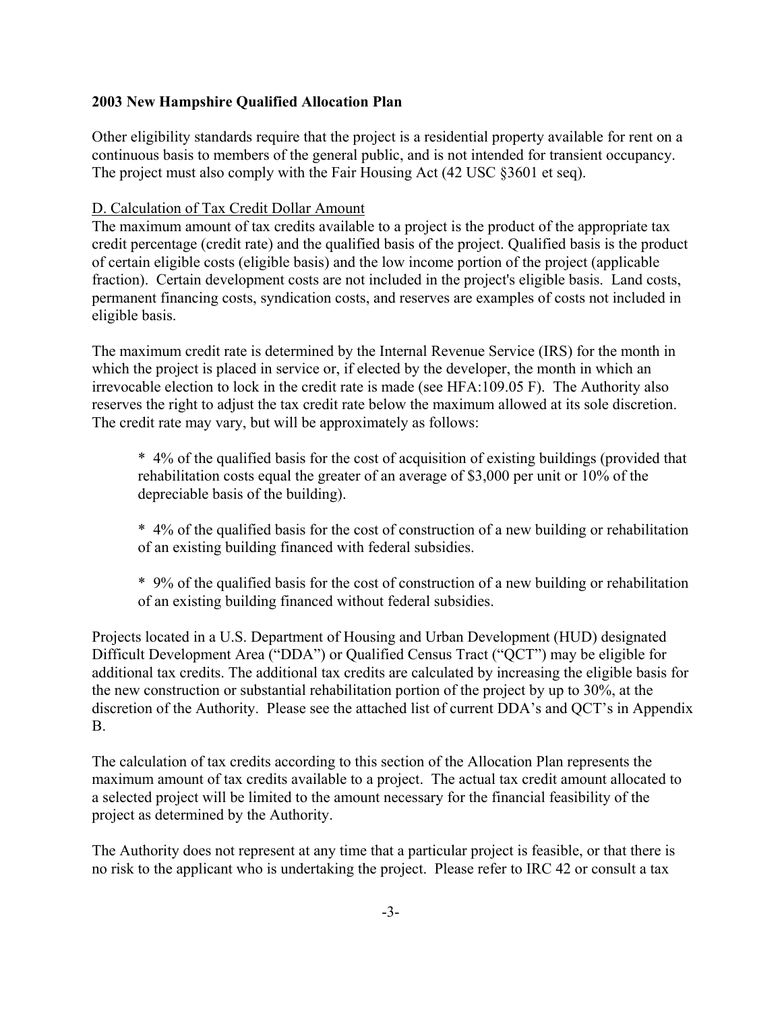Other eligibility standards require that the project is a residential property available for rent on a continuous basis to members of the general public, and is not intended for transient occupancy. The project must also comply with the Fair Housing Act (42 USC §3601 et seq).

#### D. Calculation of Tax Credit Dollar Amount

The maximum amount of tax credits available to a project is the product of the appropriate tax credit percentage (credit rate) and the qualified basis of the project. Qualified basis is the product of certain eligible costs (eligible basis) and the low income portion of the project (applicable fraction). Certain development costs are not included in the project's eligible basis. Land costs, permanent financing costs, syndication costs, and reserves are examples of costs not included in eligible basis.

The maximum credit rate is determined by the Internal Revenue Service (IRS) for the month in which the project is placed in service or, if elected by the developer, the month in which an irrevocable election to lock in the credit rate is made (see HFA:109.05 F). The Authority also reserves the right to adjust the tax credit rate below the maximum allowed at its sole discretion. The credit rate may vary, but will be approximately as follows:

\* 4% of the qualified basis for the cost of acquisition of existing buildings (provided that rehabilitation costs equal the greater of an average of \$3,000 per unit or 10% of the depreciable basis of the building).

\* 4% of the qualified basis for the cost of construction of a new building or rehabilitation of an existing building financed with federal subsidies.

\* 9% of the qualified basis for the cost of construction of a new building or rehabilitation of an existing building financed without federal subsidies.

Projects located in a U.S. Department of Housing and Urban Development (HUD) designated Difficult Development Area ("DDA") or Qualified Census Tract ("QCT") may be eligible for additional tax credits. The additional tax credits are calculated by increasing the eligible basis for the new construction or substantial rehabilitation portion of the project by up to 30%, at the discretion of the Authority. Please see the attached list of current DDA's and QCT's in Appendix B.

The calculation of tax credits according to this section of the Allocation Plan represents the maximum amount of tax credits available to a project. The actual tax credit amount allocated to a selected project will be limited to the amount necessary for the financial feasibility of the project as determined by the Authority.

The Authority does not represent at any time that a particular project is feasible, or that there is no risk to the applicant who is undertaking the project. Please refer to IRC 42 or consult a tax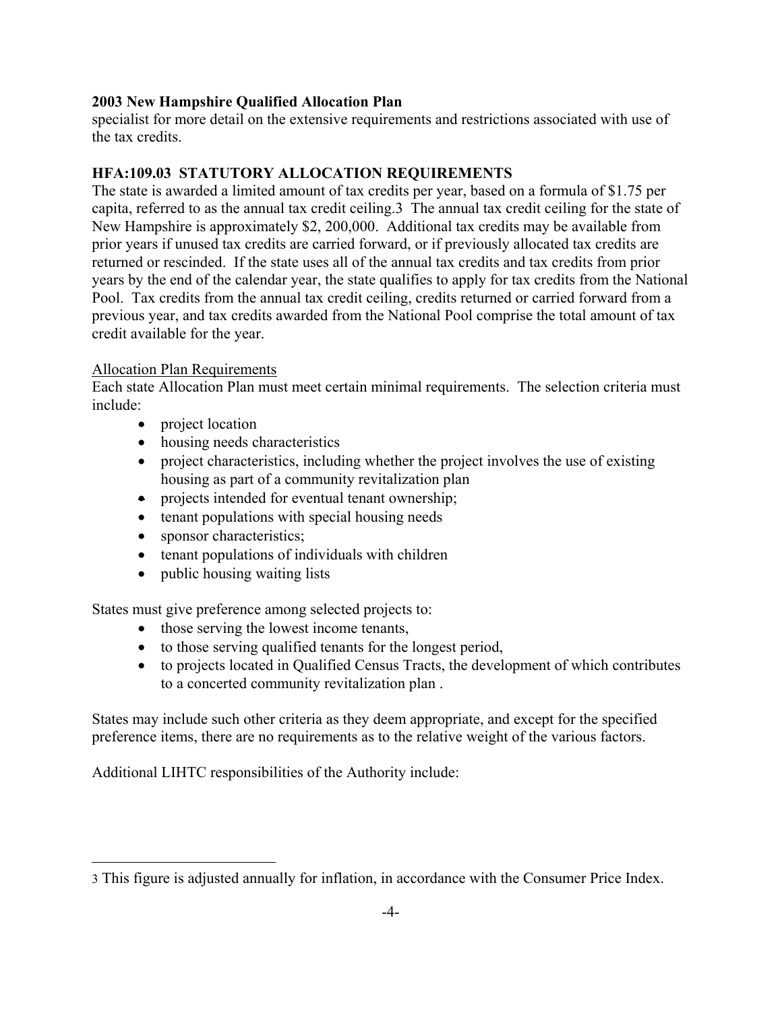specialist for more detail on the extensive requirements and restrictions associated with use of the tax credits.

## **HFA:109.03 STATUTORY ALLOCATION REQUIREMENTS**

The state is awarded a limited amount of tax credits per year, based on a formula of \$1.75 per capita, referred to as the annual tax credit ceiling.[3](#page-9-0) The annual tax credit ceiling for the state of New Hampshire is approximately \$2, 200,000. Additional tax credits may be available from prior years if unused tax credits are carried forward, or if previously allocated tax credits are returned or rescinded. If the state uses all of the annual tax credits and tax credits from prior years by the end of the calendar year, the state qualifies to apply for tax credits from the National Pool. Tax credits from the annual tax credit ceiling, credits returned or carried forward from a previous year, and tax credits awarded from the National Pool comprise the total amount of tax credit available for the year.

#### Allocation Plan Requirements

i.

Each state Allocation Plan must meet certain minimal requirements. The selection criteria must include:

- project location
- housing needs characteristics
- project characteristics, including whether the project involves the use of existing housing as part of a community revitalization plan
- projects intended for eventual tenant ownership;
- tenant populations with special housing needs
- sponsor characteristics;
- tenant populations of individuals with children
- public housing waiting lists

States must give preference among selected projects to:

- those serving the lowest income tenants,
- to those serving qualified tenants for the longest period,
- to projects located in Qualified Census Tracts, the development of which contributes to a concerted community revitalization plan .

States may include such other criteria as they deem appropriate, and except for the specified preference items, there are no requirements as to the relative weight of the various factors.

Additional LIHTC responsibilities of the Authority include:

<span id="page-9-0"></span><sup>3</sup> This figure is adjusted annually for inflation, in accordance with the Consumer Price Index.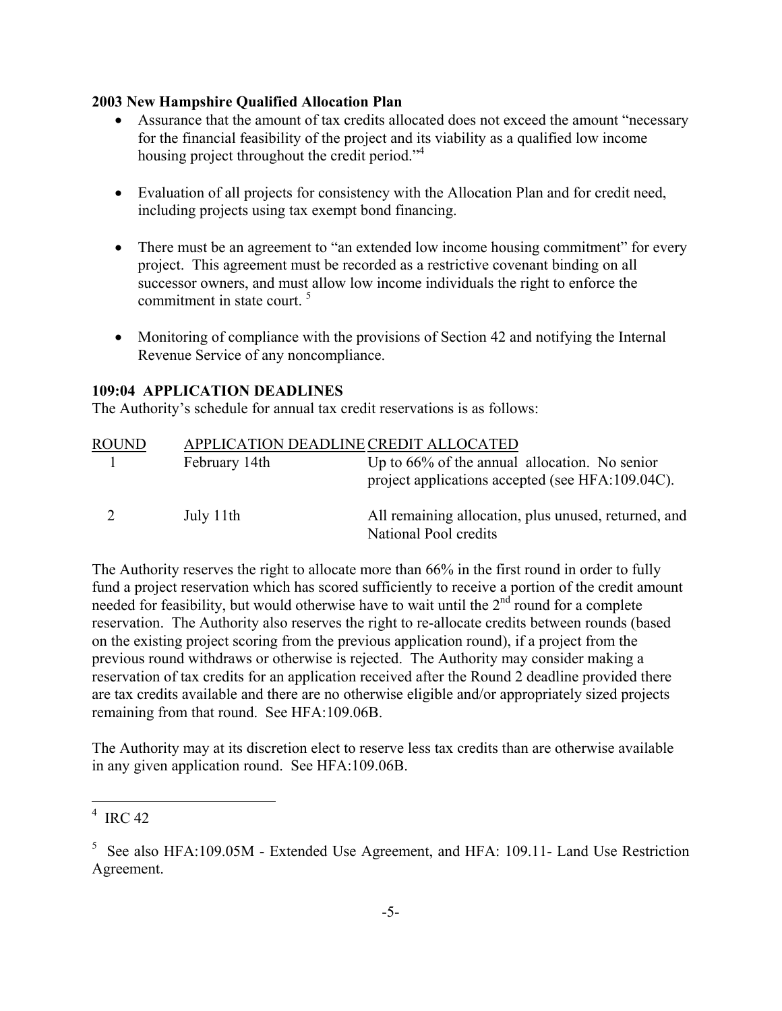- Assurance that the amount of tax credits allocated does not exceed the amount "necessary" for the financial feasibility of the project and its viability as a qualified low income housing project throughout the credit period."<sup>4</sup>
- Evaluation of all projects for consistency with the Allocation Plan and for credit need, including projects using tax exempt bond financing.
- There must be an agreement to "an extended low income housing commitment" for every project. This agreement must be recorded as a restrictive covenant binding on all successor owners, and must allow low income individuals the right to enforce the commitment in state court.<sup>[5](#page-10-1)</sup>
- Monitoring of compliance with the provisions of Section 42 and notifying the Internal Revenue Service of any noncompliance.

### **109:04 APPLICATION DEADLINES**

The Authority's schedule for annual tax credit reservations is as follows:

| <b>ROUND</b> |               | APPLICATION DEADLINE CREDIT ALLOCATED                                                                |
|--------------|---------------|------------------------------------------------------------------------------------------------------|
|              | February 14th | Up to $66\%$ of the annual allocation. No senior<br>project applications accepted (see HFA:109.04C). |
| 2            | July 11th     | All remaining allocation, plus unused, returned, and<br>National Pool credits                        |

The Authority reserves the right to allocate more than 66% in the first round in order to fully fund a project reservation which has scored sufficiently to receive a portion of the credit amount needed for feasibility, but would otherwise have to wait until the  $2<sup>nd</sup>$  round for a complete reservation. The Authority also reserves the right to re-allocate credits between rounds (based on the existing project scoring from the previous application round), if a project from the previous round withdraws or otherwise is rejected. The Authority may consider making a reservation of tax credits for an application received after the Round 2 deadline provided there are tax credits available and there are no otherwise eligible and/or appropriately sized projects remaining from that round. See HFA:109.06B.

The Authority may at its discretion elect to reserve less tax credits than are otherwise available in any given application round. See HFA:109.06B.

j.

<span id="page-10-0"></span> $4$  IRC 42

<span id="page-10-1"></span><sup>&</sup>lt;sup>5</sup> See also HFA:109.05M - Extended Use Agreement, and HFA: 109.11- Land Use Restriction Agreement.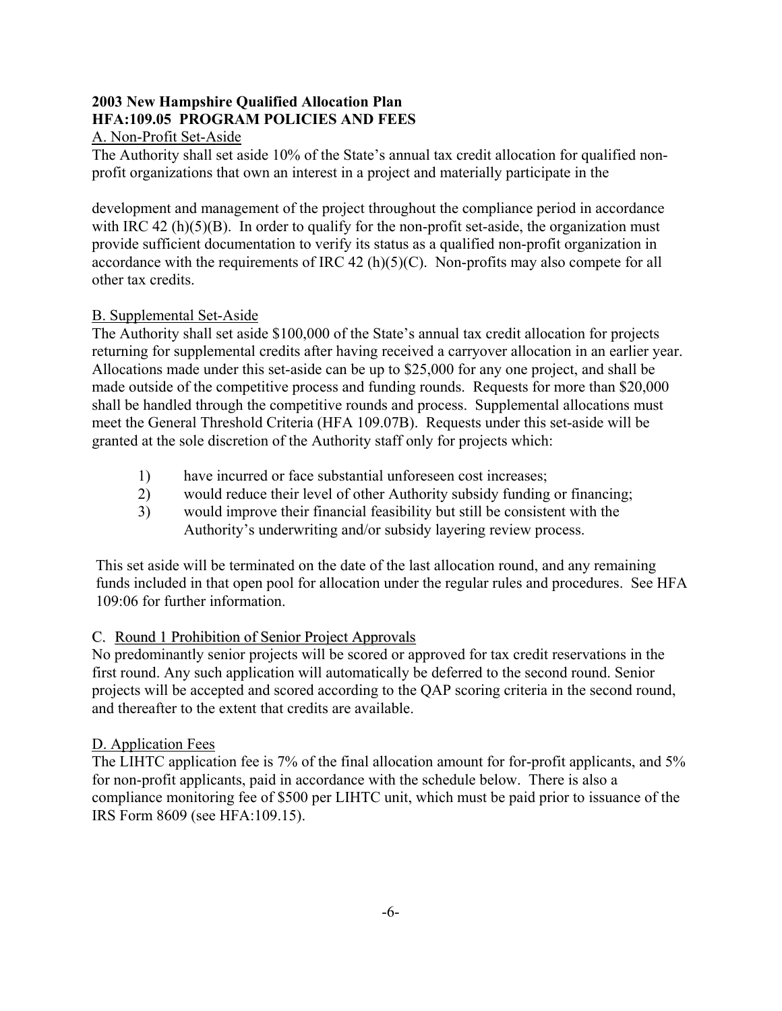### **2003 New Hampshire Qualified Allocation Plan HFA:109.05 PROGRAM POLICIES AND FEES**  A. Non-Profit Set-Aside

The Authority shall set aside 10% of the State's annual tax credit allocation for qualified nonprofit organizations that own an interest in a project and materially participate in the

development and management of the project throughout the compliance period in accordance with IRC 42 (h) $(5)(B)$ . In order to qualify for the non-profit set-aside, the organization must provide sufficient documentation to verify its status as a qualified non-profit organization in accordance with the requirements of IRC 42 (h)(5)(C). Non-profits may also compete for all other tax credits.

## B. Supplemental Set-Aside

The Authority shall set aside \$100,000 of the State's annual tax credit allocation for projects returning for supplemental credits after having received a carryover allocation in an earlier year. Allocations made under this set-aside can be up to \$25,000 for any one project, and shall be made outside of the competitive process and funding rounds. Requests for more than \$20,000 shall be handled through the competitive rounds and process. Supplemental allocations must meet the General Threshold Criteria (HFA 109.07B). Requests under this set-aside will be granted at the sole discretion of the Authority staff only for projects which:

- 1) have incurred or face substantial unforeseen cost increases;
- 2) would reduce their level of other Authority subsidy funding or financing;
- 3) would improve their financial feasibility but still be consistent with the Authority's underwriting and/or subsidy layering review process.

This set aside will be terminated on the date of the last allocation round, and any remaining funds included in that open pool for allocation under the regular rules and procedures. See HFA 109:06 for further information.

## C. Round 1 Prohibition of Senior Project Approvals

No predominantly senior projects will be scored or approved for tax credit reservations in the first round. Any such application will automatically be deferred to the second round. Senior projects will be accepted and scored according to the QAP scoring criteria in the second round, and thereafter to the extent that credits are available.

## D. Application Fees

The LIHTC application fee is 7% of the final allocation amount for for-profit applicants, and 5% for non-profit applicants, paid in accordance with the schedule below. There is also a compliance monitoring fee of \$500 per LIHTC unit, which must be paid prior to issuance of the IRS Form 8609 (see HFA:109.15).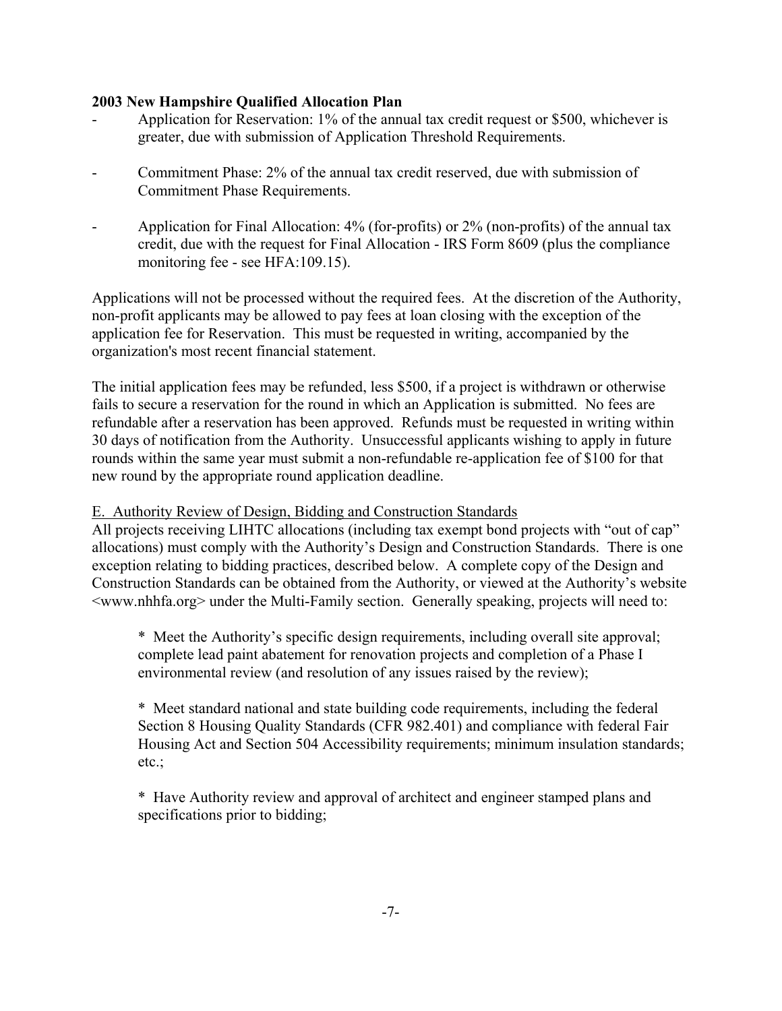- Application for Reservation: 1% of the annual tax credit request or \$500, whichever is greater, due with submission of Application Threshold Requirements.
- Commitment Phase: 2% of the annual tax credit reserved, due with submission of Commitment Phase Requirements.
- Application for Final Allocation: 4% (for-profits) or 2% (non-profits) of the annual tax credit, due with the request for Final Allocation - IRS Form 8609 (plus the compliance monitoring fee - see HFA:109.15).

Applications will not be processed without the required fees. At the discretion of the Authority, non-profit applicants may be allowed to pay fees at loan closing with the exception of the application fee for Reservation. This must be requested in writing, accompanied by the organization's most recent financial statement.

The initial application fees may be refunded, less \$500, if a project is withdrawn or otherwise fails to secure a reservation for the round in which an Application is submitted. No fees are refundable after a reservation has been approved. Refunds must be requested in writing within 30 days of notification from the Authority. Unsuccessful applicants wishing to apply in future rounds within the same year must submit a non-refundable re-application fee of \$100 for that new round by the appropriate round application deadline.

E. Authority Review of Design, Bidding and Construction Standards

All projects receiving LIHTC allocations (including tax exempt bond projects with "out of cap" allocations) must comply with the Authority's Design and Construction Standards. There is one exception relating to bidding practices, described below. A complete copy of the Design and Construction Standards can be obtained from the Authority, or viewed at the Authority's website <www.nhhfa.org> under the Multi-Family section. Generally speaking, projects will need to:

\* Meet the Authority's specific design requirements, including overall site approval; complete lead paint abatement for renovation projects and completion of a Phase I environmental review (and resolution of any issues raised by the review);

\* Meet standard national and state building code requirements, including the federal Section 8 Housing Quality Standards (CFR 982.401) and compliance with federal Fair Housing Act and Section 504 Accessibility requirements; minimum insulation standards; etc.;

\* Have Authority review and approval of architect and engineer stamped plans and specifications prior to bidding;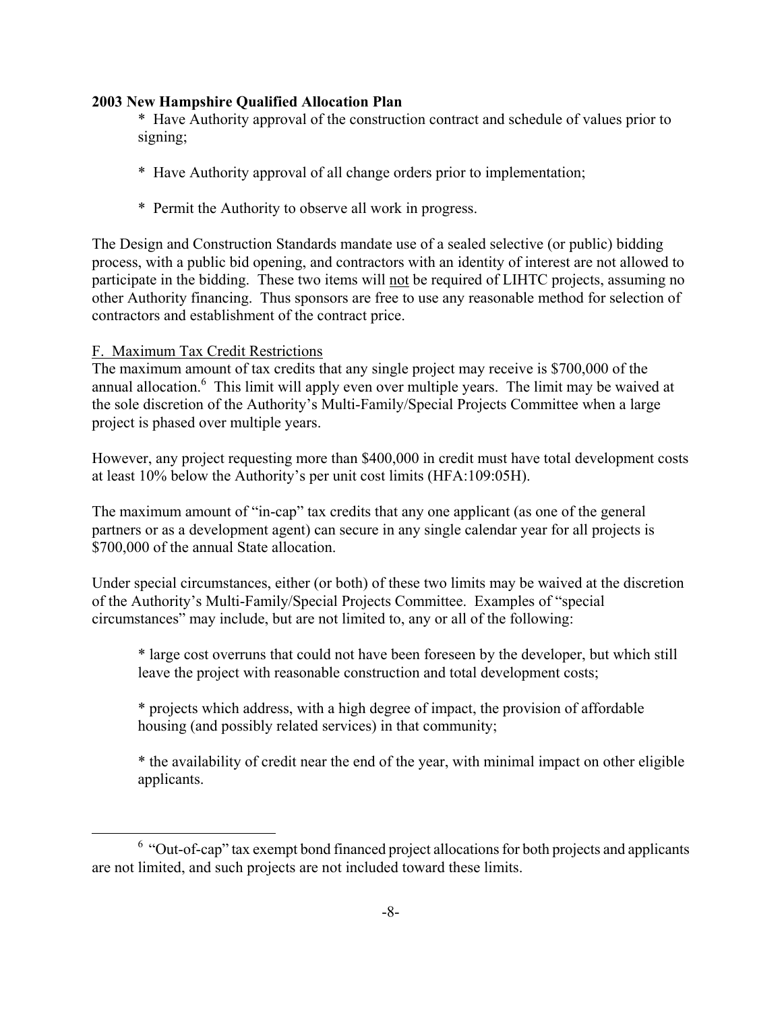\* Have Authority approval of the construction contract and schedule of values prior to signing;

- \* Have Authority approval of all change orders prior to implementation;
- \* Permit the Authority to observe all work in progress.

The Design and Construction Standards mandate use of a sealed selective (or public) bidding process, with a public bid opening, and contractors with an identity of interest are not allowed to participate in the bidding. These two items will not be required of LIHTC projects, assuming no other Authority financing. Thus sponsors are free to use any reasonable method for selection of contractors and establishment of the contract price.

## F. Maximum Tax Credit Restrictions

<span id="page-13-0"></span>j.

The maximum amount of tax credits that any single project may receive is \$700,000 of the annual allocation.<sup>6</sup> This limit will apply even over multiple years. The limit may be waived at the sole discretion of the Authority's Multi-Family/Special Projects Committee when a large project is phased over multiple years.

However, any project requesting more than \$400,000 in credit must have total development costs at least 10% below the Authority's per unit cost limits (HFA:109:05H).

The maximum amount of "in-cap" tax credits that any one applicant (as one of the general partners or as a development agent) can secure in any single calendar year for all projects is \$700,000 of the annual State allocation.

Under special circumstances, either (or both) of these two limits may be waived at the discretion of the Authority's Multi-Family/Special Projects Committee. Examples of "special circumstances" may include, but are not limited to, any or all of the following:

\* large cost overruns that could not have been foreseen by the developer, but which still leave the project with reasonable construction and total development costs;

\* projects which address, with a high degree of impact, the provision of affordable housing (and possibly related services) in that community;

\* the availability of credit near the end of the year, with minimal impact on other eligible applicants.

 $6$  "Out-of-cap" tax exempt bond financed project allocations for both projects and applicants are not limited, and such projects are not included toward these limits.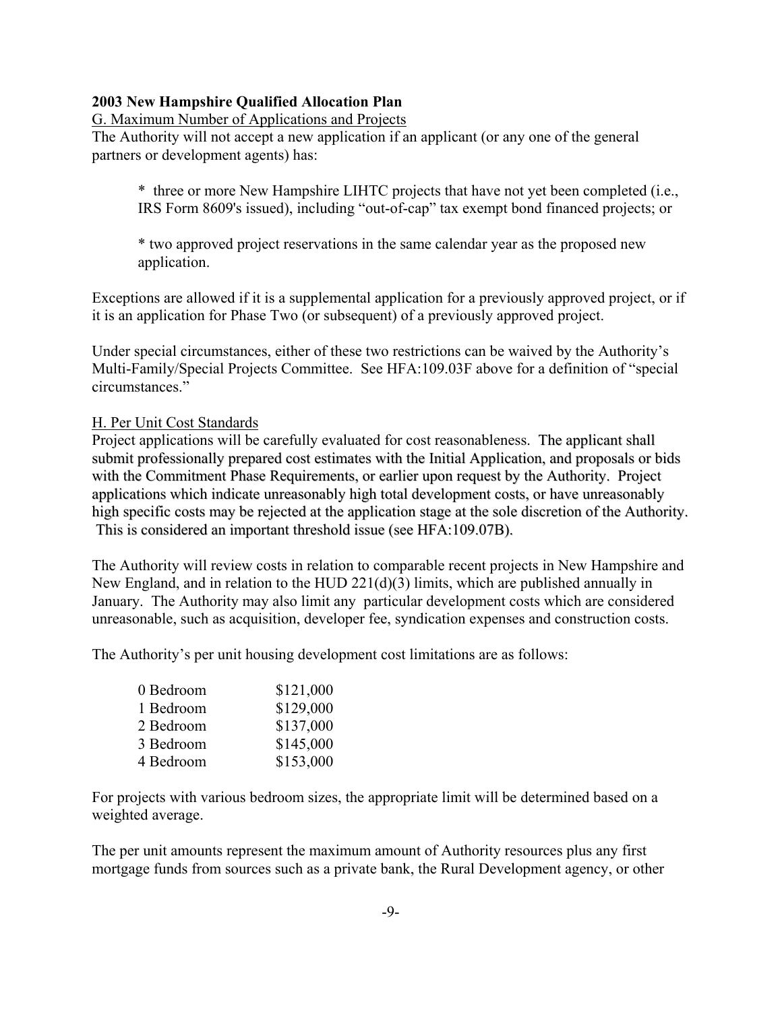#### G. Maximum Number of Applications and Projects

The Authority will not accept a new application if an applicant (or any one of the general partners or development agents) has:

\* three or more New Hampshire LIHTC projects that have not yet been completed (i.e., IRS Form 8609's issued), including "out-of-cap" tax exempt bond financed projects; or

\* two approved project reservations in the same calendar year as the proposed new application.

Exceptions are allowed if it is a supplemental application for a previously approved project, or if it is an application for Phase Two (or subsequent) of a previously approved project.

Under special circumstances, either of these two restrictions can be waived by the Authority's Multi-Family/Special Projects Committee. See HFA:109.03F above for a definition of "special circumstances."

#### H. Per Unit Cost Standards

Project applications will be carefully evaluated for cost reasonableness. The applicant shall submit professionally prepared cost estimates with the Initial Application, and proposals or bids with the Commitment Phase Requirements, or earlier upon request by the Authority. Project applications which indicate unreasonably high total development costs, or have unreasonably high specific costs may be rejected at the application stage at the sole discretion of the Authority. This is considered an important threshold issue (see HFA:109.07B).

The Authority will review costs in relation to comparable recent projects in New Hampshire and New England, and in relation to the HUD 221(d)(3) limits, which are published annually in January. The Authority may also limit any particular development costs which are considered unreasonable, such as acquisition, developer fee, syndication expenses and construction costs.

The Authority's per unit housing development cost limitations are as follows:

| 0 Bedroom | \$121,000 |
|-----------|-----------|
| 1 Bedroom | \$129,000 |
| 2 Bedroom | \$137,000 |
| 3 Bedroom | \$145,000 |
| 4 Bedroom | \$153,000 |

For projects with various bedroom sizes, the appropriate limit will be determined based on a weighted average.

The per unit amounts represent the maximum amount of Authority resources plus any first mortgage funds from sources such as a private bank, the Rural Development agency, or other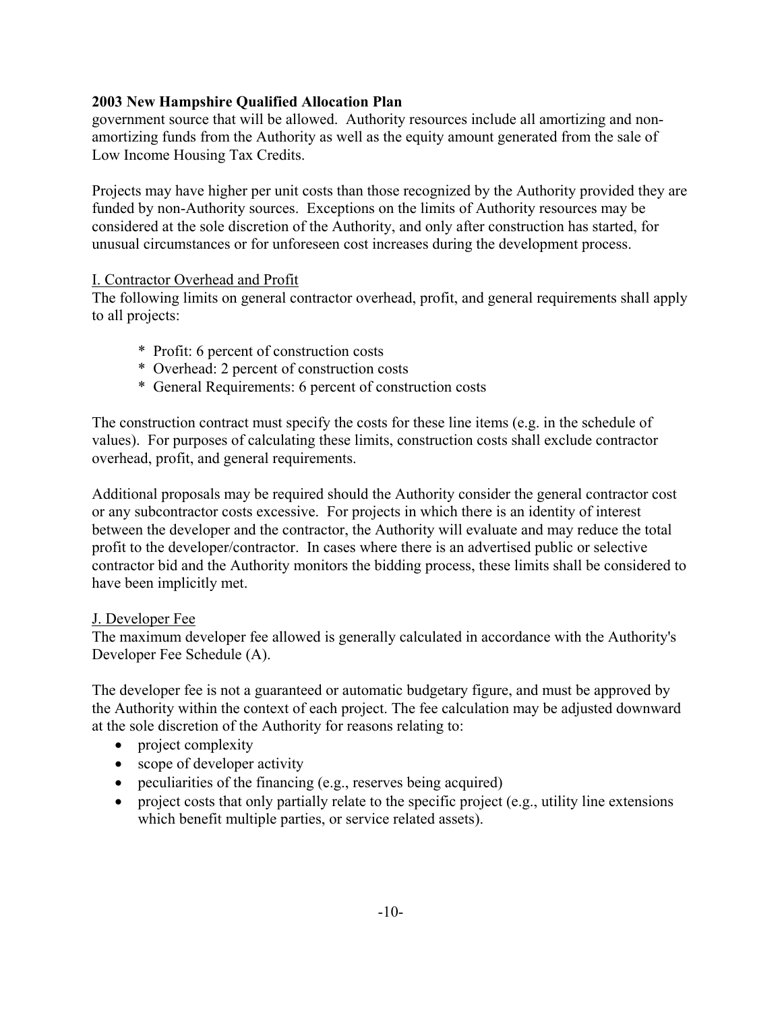government source that will be allowed. Authority resources include all amortizing and nonamortizing funds from the Authority as well as the equity amount generated from the sale of Low Income Housing Tax Credits.

Projects may have higher per unit costs than those recognized by the Authority provided they are funded by non-Authority sources. Exceptions on the limits of Authority resources may be considered at the sole discretion of the Authority, and only after construction has started, for unusual circumstances or for unforeseen cost increases during the development process.

### I. Contractor Overhead and Profit

The following limits on general contractor overhead, profit, and general requirements shall apply to all projects:

- \* Profit: 6 percent of construction costs
- \* Overhead: 2 percent of construction costs
- \* General Requirements: 6 percent of construction costs

The construction contract must specify the costs for these line items (e.g. in the schedule of values). For purposes of calculating these limits, construction costs shall exclude contractor overhead, profit, and general requirements.

Additional proposals may be required should the Authority consider the general contractor cost or any subcontractor costs excessive. For projects in which there is an identity of interest between the developer and the contractor, the Authority will evaluate and may reduce the total profit to the developer/contractor. In cases where there is an advertised public or selective contractor bid and the Authority monitors the bidding process, these limits shall be considered to have been implicitly met.

## J. Developer Fee

The maximum developer fee allowed is generally calculated in accordance with the Authority's Developer Fee Schedule (A).

The developer fee is not a guaranteed or automatic budgetary figure, and must be approved by the Authority within the context of each project. The fee calculation may be adjusted downward at the sole discretion of the Authority for reasons relating to:

- project complexity
- scope of developer activity
- peculiarities of the financing (e.g., reserves being acquired)
- project costs that only partially relate to the specific project (e.g., utility line extensions which benefit multiple parties, or service related assets).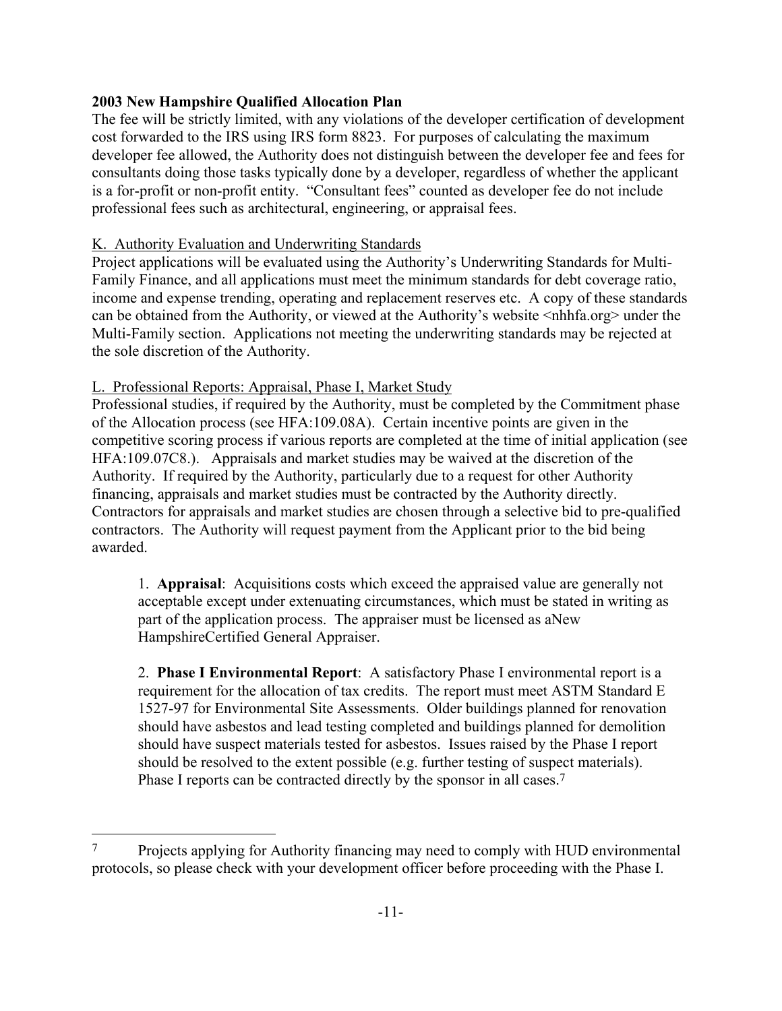The fee will be strictly limited, with any violations of the developer certification of development cost forwarded to the IRS using IRS form 8823. For purposes of calculating the maximum developer fee allowed, the Authority does not distinguish between the developer fee and fees for consultants doing those tasks typically done by a developer, regardless of whether the applicant is a for-profit or non-profit entity. "Consultant fees" counted as developer fee do not include professional fees such as architectural, engineering, or appraisal fees.

### K. Authority Evaluation and Underwriting Standards

Project applications will be evaluated using the Authority's Underwriting Standards for Multi-Family Finance, and all applications must meet the minimum standards for debt coverage ratio, income and expense trending, operating and replacement reserves etc. A copy of these standards can be obtained from the Authority, or viewed at the Authority's website <nhhfa.org> under the Multi-Family section. Applications not meeting the underwriting standards may be rejected at the sole discretion of the Authority.

### L. Professional Reports: Appraisal, Phase I, Market Study

L,

Professional studies, if required by the Authority, must be completed by the Commitment phase of the Allocation process (see HFA:109.08A). Certain incentive points are given in the competitive scoring process if various reports are completed at the time of initial application (see HFA:109.07C8.). Appraisals and market studies may be waived at the discretion of the Authority. If required by the Authority, particularly due to a request for other Authority financing, appraisals and market studies must be contracted by the Authority directly. Contractors for appraisals and market studies are chosen through a selective bid to pre-qualified contractors. The Authority will request payment from the Applicant prior to the bid being awarded.

1. **Appraisal**: Acquisitions costs which exceed the appraised value are generally not acceptable except under extenuating circumstances, which must be stated in writing as part of the application process. The appraiser must be licensed as aNew HampshireCertified General Appraiser.

2. **Phase I Environmental Report**: A satisfactory Phase I environmental report is a requirement for the allocation of tax credits. The report must meet ASTM Standard E 1527-97 for Environmental Site Assessments. Older buildings planned for renovation should have asbestos and lead testing completed and buildings planned for demolition should have suspect materials tested for asbestos. Issues raised by the Phase I report should be resolved to the extent possible (e.g. further testing of suspect materials). Phase I reports can be contracted directly by the sponsor in all cases.<sup>7</sup>

<span id="page-16-0"></span><sup>7</sup> Projects applying for Authority financing may need to comply with HUD environmental protocols, so please check with your development officer before proceeding with the Phase I.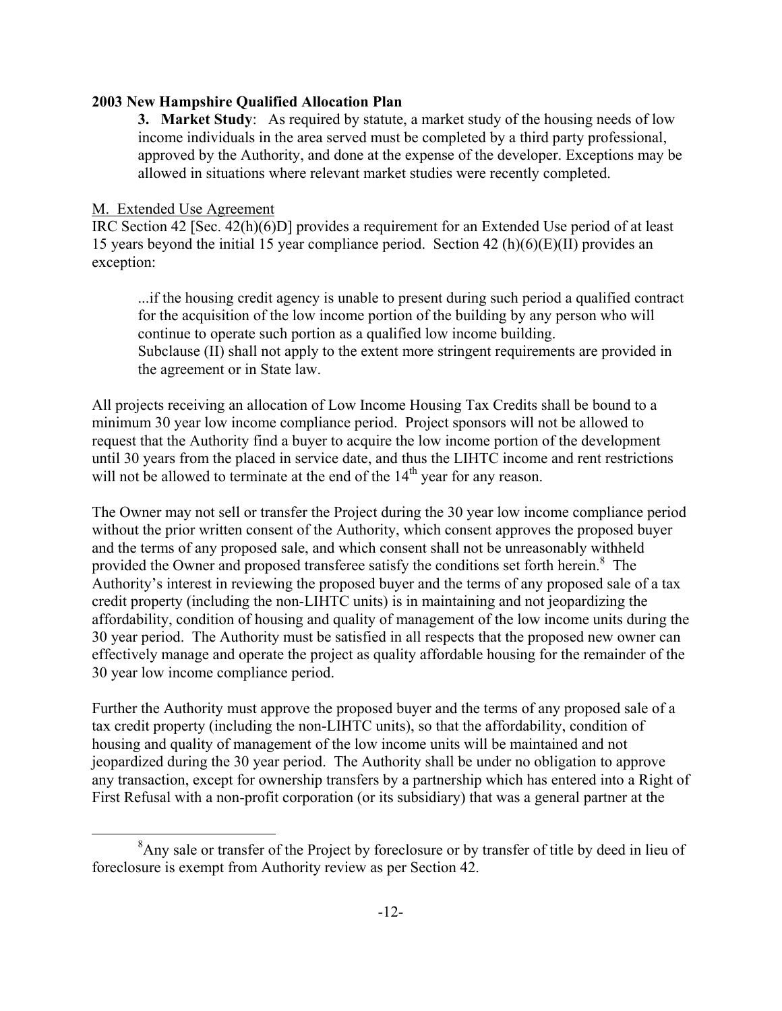**3. Market Study**: As required by statute, a market study of the housing needs of low income individuals in the area served must be completed by a third party professional, approved by the Authority, and done at the expense of the developer. Exceptions may be allowed in situations where relevant market studies were recently completed.

### M. Extended Use Agreement

<span id="page-17-0"></span>i.

IRC Section 42 [Sec. 42(h)(6)D] provides a requirement for an Extended Use period of at least 15 years beyond the initial 15 year compliance period. Section 42 (h)(6)(E)(II) provides an exception:

...if the housing credit agency is unable to present during such period a qualified contract for the acquisition of the low income portion of the building by any person who will continue to operate such portion as a qualified low income building. Subclause (II) shall not apply to the extent more stringent requirements are provided in the agreement or in State law.

All projects receiving an allocation of Low Income Housing Tax Credits shall be bound to a minimum 30 year low income compliance period. Project sponsors will not be allowed to request that the Authority find a buyer to acquire the low income portion of the development until 30 years from the placed in service date, and thus the LIHTC income and rent restrictions will not be allowed to terminate at the end of the  $14<sup>th</sup>$  year for any reason.

The Owner may not sell or transfer the Project during the 30 year low income compliance period without the prior written consent of the Authority, which consent approves the proposed buyer and the terms of any proposed sale, and which consent shall not be unreasonably withheld provided the Owner and proposed transferee satisfy the conditions set forth herein.<sup>[8](#page-17-0)</sup> The Authority's interest in reviewing the proposed buyer and the terms of any proposed sale of a tax credit property (including the non-LIHTC units) is in maintaining and not jeopardizing the affordability, condition of housing and quality of management of the low income units during the 30 year period. The Authority must be satisfied in all respects that the proposed new owner can effectively manage and operate the project as quality affordable housing for the remainder of the 30 year low income compliance period.

Further the Authority must approve the proposed buyer and the terms of any proposed sale of a tax credit property (including the non-LIHTC units), so that the affordability, condition of housing and quality of management of the low income units will be maintained and not jeopardized during the 30 year period. The Authority shall be under no obligation to approve any transaction, except for ownership transfers by a partnership which has entered into a Right of First Refusal with a non-profit corporation (or its subsidiary) that was a general partner at the

 $8$ Any sale or transfer of the Project by foreclosure or by transfer of title by deed in lieu of foreclosure is exempt from Authority review as per Section 42.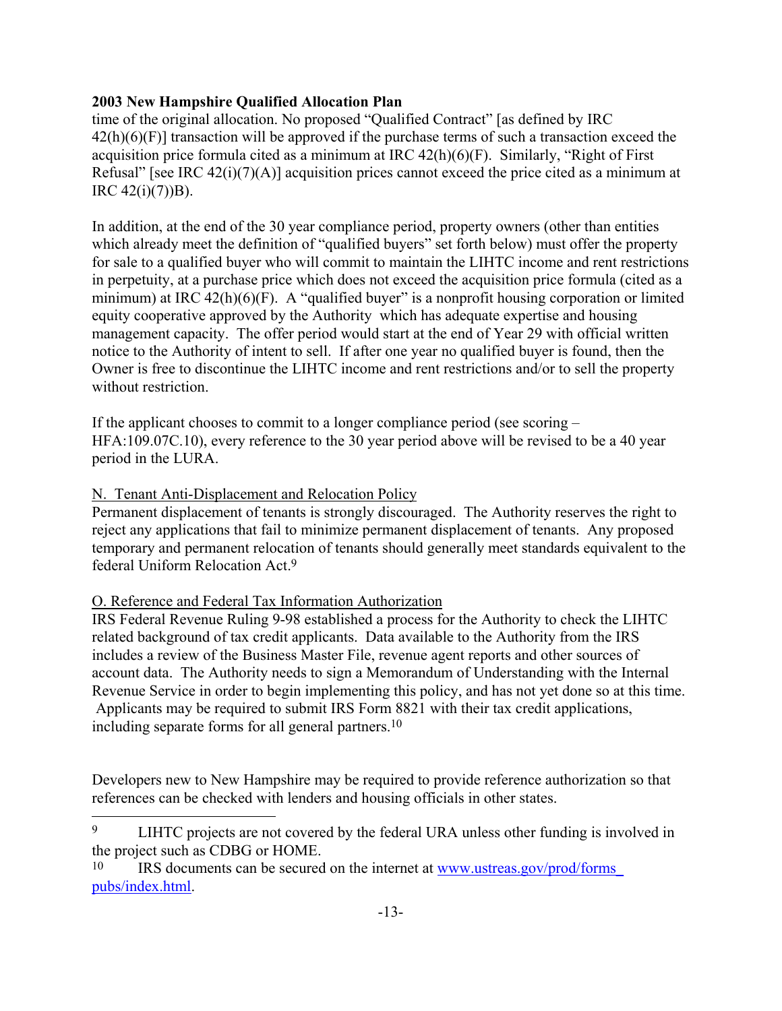time of the original allocation. No proposed "Qualified Contract" [as defined by IRC  $42(h)(6)(F)$  transaction will be approved if the purchase terms of such a transaction exceed the acquisition price formula cited as a minimum at IRC 42(h)(6)(F). Similarly, "Right of First Refusal" [see IRC 42(i)(7)(A)] acquisition prices cannot exceed the price cited as a minimum at IRC  $42(i)(7)$ )B).

In addition, at the end of the 30 year compliance period, property owners (other than entities which already meet the definition of "qualified buyers" set forth below) must offer the property for sale to a qualified buyer who will commit to maintain the LIHTC income and rent restrictions in perpetuity, at a purchase price which does not exceed the acquisition price formula (cited as a minimum) at IRC  $42(h)(6)(F)$ . A "qualified buyer" is a nonprofit housing corporation or limited equity cooperative approved by the Authority which has adequate expertise and housing management capacity. The offer period would start at the end of Year 29 with official written notice to the Authority of intent to sell. If after one year no qualified buyer is found, then the Owner is free to discontinue the LIHTC income and rent restrictions and/or to sell the property without restriction.

If the applicant chooses to commit to a longer compliance period (see scoring – HFA:109.07C.10), every reference to the 30 year period above will be revised to be a 40 year period in the LURA.

### N. Tenant Anti-Displacement and Relocation Policy

Permanent displacement of tenants is strongly discouraged. The Authority reserves the right to reject any applications that fail to minimize permanent displacement of tenants. Any proposed temporary and permanent relocation of tenants should generally meet standards equivalent to the federal Uniform Relocation Act[.9](#page-18-0)

## O. Reference and Federal Tax Information Authorization

j.

IRS Federal Revenue Ruling 9-98 established a process for the Authority to check the LIHTC related background of tax credit applicants. Data available to the Authority from the IRS includes a review of the Business Master File, revenue agent reports and other sources of account data. The Authority needs to sign a Memorandum of Understanding with the Internal Revenue Service in order to begin implementing this policy, and has not yet done so at this time. Applicants may be required to submit IRS Form 8821 with their tax credit applications, including separate forms for all general partners[.10](#page-18-1) 

Developers new to New Hampshire may be required to provide reference authorization so that references can be checked with lenders and housing officials in other states.

<span id="page-18-0"></span><sup>9</sup> LIHTC projects are not covered by the federal URA unless other funding is involved in the project such as CDBG or HOME.

<span id="page-18-1"></span><sup>10</sup> IRS documents can be secured on the internet at [www.ustreas.gov/prod/forms\\_](http://www.ustreas.gov/prod/forms_pubs/index.html)  [pubs/index.html.](http://www.ustreas.gov/prod/forms_pubs/index.html)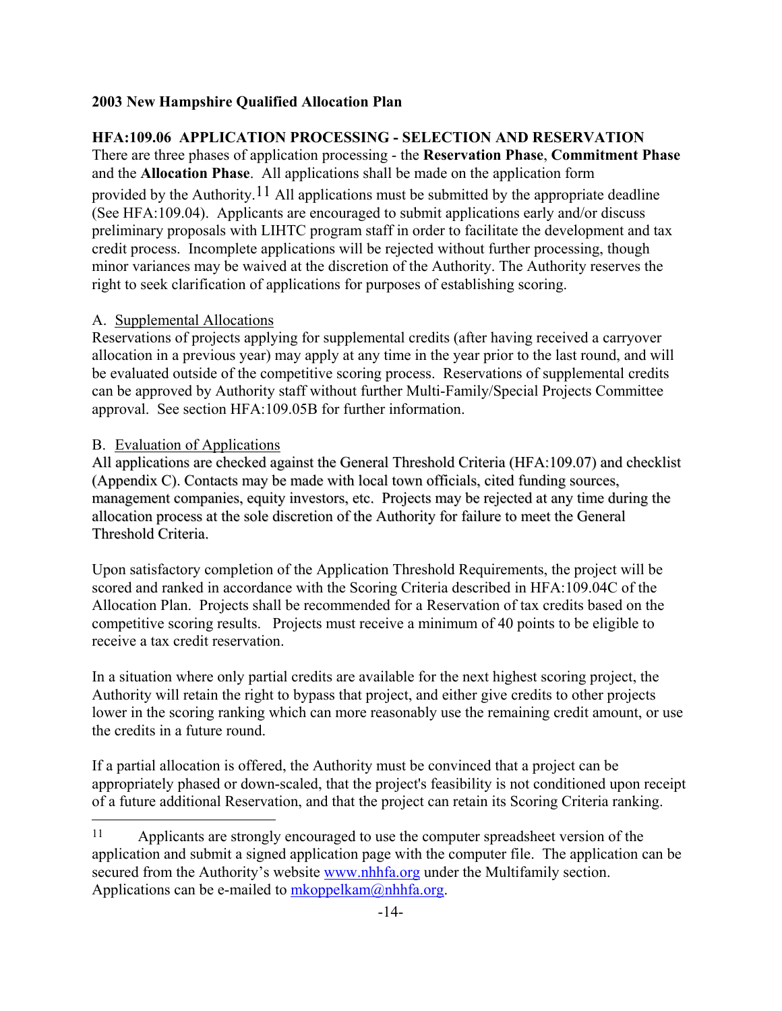## **HFA:109.06 APPLICATION PROCESSING - SELECTION AND RESERVATION**

There are three phases of application processing - the **Reservation Phase**, **Commitment Phase** and the **Allocation Phase**. All applications shall be made on the application form provided by the Authority.<sup>11</sup> All applications must be submitted by the appropriate deadline (See HFA:109.04). Applicants are encouraged to submit applications early and/or discuss preliminary proposals with LIHTC program staff in order to facilitate the development and tax credit process. Incomplete applications will be rejected without further processing, though minor variances may be waived at the discretion of the Authority. The Authority reserves the right to seek clarification of applications for purposes of establishing scoring.

### A. Supplemental Allocations

Reservations of projects applying for supplemental credits (after having received a carryover allocation in a previous year) may apply at any time in the year prior to the last round, and will be evaluated outside of the competitive scoring process. Reservations of supplemental credits can be approved by Authority staff without further Multi-Family/Special Projects Committee approval. See section HFA:109.05B for further information.

### B. Evaluation of Applications

j.

All applications are checked against the General Threshold Criteria (HFA:109.07) and checklist (Appendix C). Contacts may be made with local town officials, cited funding sources, management companies, equity investors, etc. Projects may be rejected at any time during the allocation process at the sole discretion of the Authority for failure to meet the General Threshold Criteria.

Upon satisfactory completion of the Application Threshold Requirements, the project will be scored and ranked in accordance with the Scoring Criteria described in HFA:109.04C of the Allocation Plan. Projects shall be recommended for a Reservation of tax credits based on the competitive scoring results. Projects must receive a minimum of 40 points to be eligible to receive a tax credit reservation.

In a situation where only partial credits are available for the next highest scoring project, the Authority will retain the right to bypass that project, and either give credits to other projects lower in the scoring ranking which can more reasonably use the remaining credit amount, or use the credits in a future round.

If a partial allocation is offered, the Authority must be convinced that a project can be appropriately phased or down-scaled, that the project's feasibility is not conditioned upon receipt of a future additional Reservation, and that the project can retain its Scoring Criteria ranking.

<span id="page-19-0"></span><sup>11</sup> Applicants are strongly encouraged to use the computer spreadsheet version of the application and submit a signed application page with the computer file. The application can be secured from the Authority's website [www.nhhfa.org](http://www.nhhfa.org/) under the Multifamily section. Applications can be e-mailed to  $mkoppelkam@nhhfa.org$ .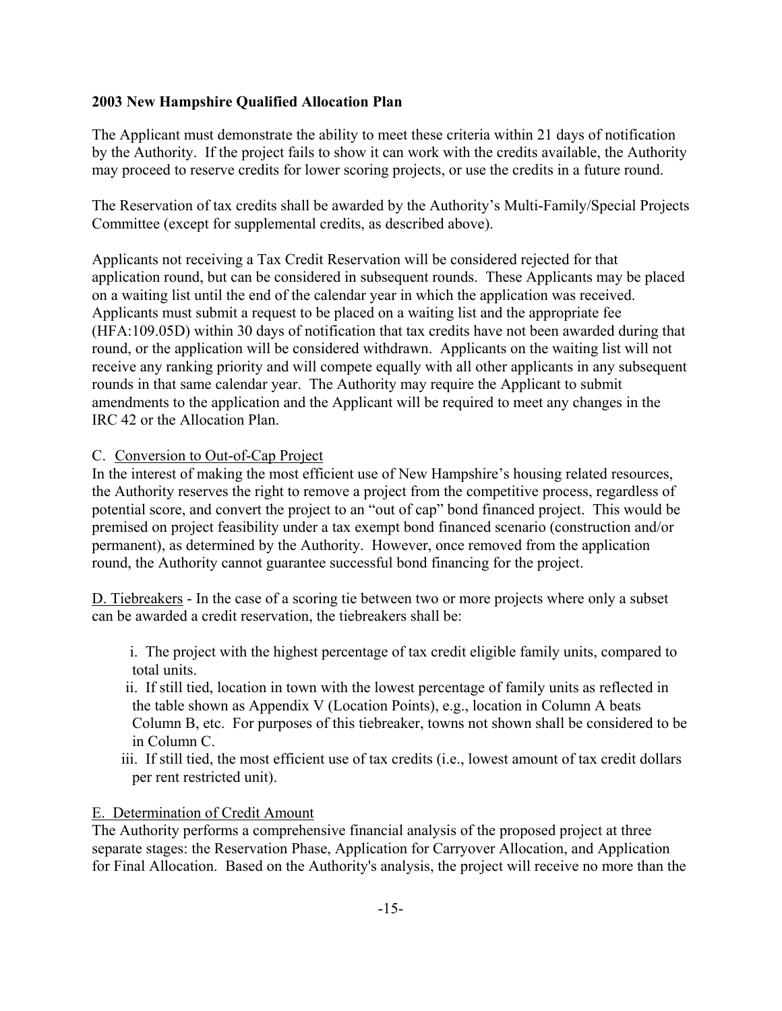The Applicant must demonstrate the ability to meet these criteria within 21 days of notification by the Authority. If the project fails to show it can work with the credits available, the Authority may proceed to reserve credits for lower scoring projects, or use the credits in a future round.

The Reservation of tax credits shall be awarded by the Authority's Multi-Family/Special Projects Committee (except for supplemental credits, as described above).

Applicants not receiving a Tax Credit Reservation will be considered rejected for that application round, but can be considered in subsequent rounds. These Applicants may be placed on a waiting list until the end of the calendar year in which the application was received. Applicants must submit a request to be placed on a waiting list and the appropriate fee (HFA:109.05D) within 30 days of notification that tax credits have not been awarded during that round, or the application will be considered withdrawn. Applicants on the waiting list will not receive any ranking priority and will compete equally with all other applicants in any subsequent rounds in that same calendar year. The Authority may require the Applicant to submit amendments to the application and the Applicant will be required to meet any changes in the IRC 42 or the Allocation Plan.

### C. Conversion to Out-of-Cap Project

In the interest of making the most efficient use of New Hampshire's housing related resources, the Authority reserves the right to remove a project from the competitive process, regardless of potential score, and convert the project to an "out of cap" bond financed project. This would be premised on project feasibility under a tax exempt bond financed scenario (construction and/or permanent), as determined by the Authority. However, once removed from the application round, the Authority cannot guarantee successful bond financing for the project.

D. Tiebreakers - In the case of a scoring tie between two or more projects where only a subset can be awarded a credit reservation, the tiebreakers shall be:

i. The project with the highest percentage of tax credit eligible family units, compared to total units.

- ii. If still tied, location in town with the lowest percentage of family units as reflected in the table shown as Appendix V (Location Points), e.g., location in Column A beats Column B, etc. For purposes of this tiebreaker, towns not shown shall be considered to be in Column C.
- iii. If still tied, the most efficient use of tax credits (i.e., lowest amount of tax credit dollars per rent restricted unit).

#### E. Determination of Credit Amount

The Authority performs a comprehensive financial analysis of the proposed project at three separate stages: the Reservation Phase, Application for Carryover Allocation, and Application for Final Allocation. Based on the Authority's analysis, the project will receive no more than the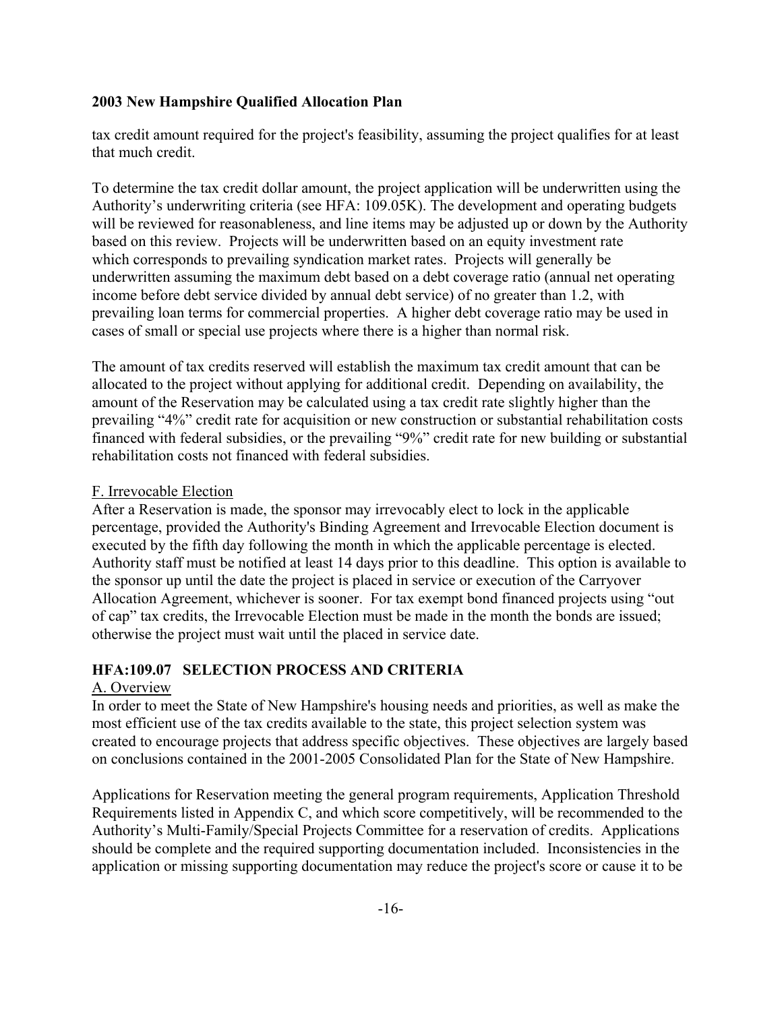tax credit amount required for the project's feasibility, assuming the project qualifies for at least that much credit.

To determine the tax credit dollar amount, the project application will be underwritten using the Authority's underwriting criteria (see HFA: 109.05K). The development and operating budgets will be reviewed for reasonableness, and line items may be adjusted up or down by the Authority based on this review. Projects will be underwritten based on an equity investment rate which corresponds to prevailing syndication market rates. Projects will generally be underwritten assuming the maximum debt based on a debt coverage ratio (annual net operating income before debt service divided by annual debt service) of no greater than 1.2, with prevailing loan terms for commercial properties. A higher debt coverage ratio may be used in cases of small or special use projects where there is a higher than normal risk.

The amount of tax credits reserved will establish the maximum tax credit amount that can be allocated to the project without applying for additional credit. Depending on availability, the amount of the Reservation may be calculated using a tax credit rate slightly higher than the prevailing "4%" credit rate for acquisition or new construction or substantial rehabilitation costs financed with federal subsidies, or the prevailing "9%" credit rate for new building or substantial rehabilitation costs not financed with federal subsidies.

#### F. Irrevocable Election

After a Reservation is made, the sponsor may irrevocably elect to lock in the applicable percentage, provided the Authority's Binding Agreement and Irrevocable Election document is executed by the fifth day following the month in which the applicable percentage is elected. Authority staff must be notified at least 14 days prior to this deadline. This option is available to the sponsor up until the date the project is placed in service or execution of the Carryover Allocation Agreement, whichever is sooner. For tax exempt bond financed projects using "out of cap" tax credits, the Irrevocable Election must be made in the month the bonds are issued; otherwise the project must wait until the placed in service date.

## **HFA:109.07 SELECTION PROCESS AND CRITERIA**

## A. Overview

In order to meet the State of New Hampshire's housing needs and priorities, as well as make the most efficient use of the tax credits available to the state, this project selection system was created to encourage projects that address specific objectives. These objectives are largely based on conclusions contained in the 2001-2005 Consolidated Plan for the State of New Hampshire.

Applications for Reservation meeting the general program requirements, Application Threshold Requirements listed in Appendix C, and which score competitively, will be recommended to the Authority's Multi-Family/Special Projects Committee for a reservation of credits. Applications should be complete and the required supporting documentation included. Inconsistencies in the application or missing supporting documentation may reduce the project's score or cause it to be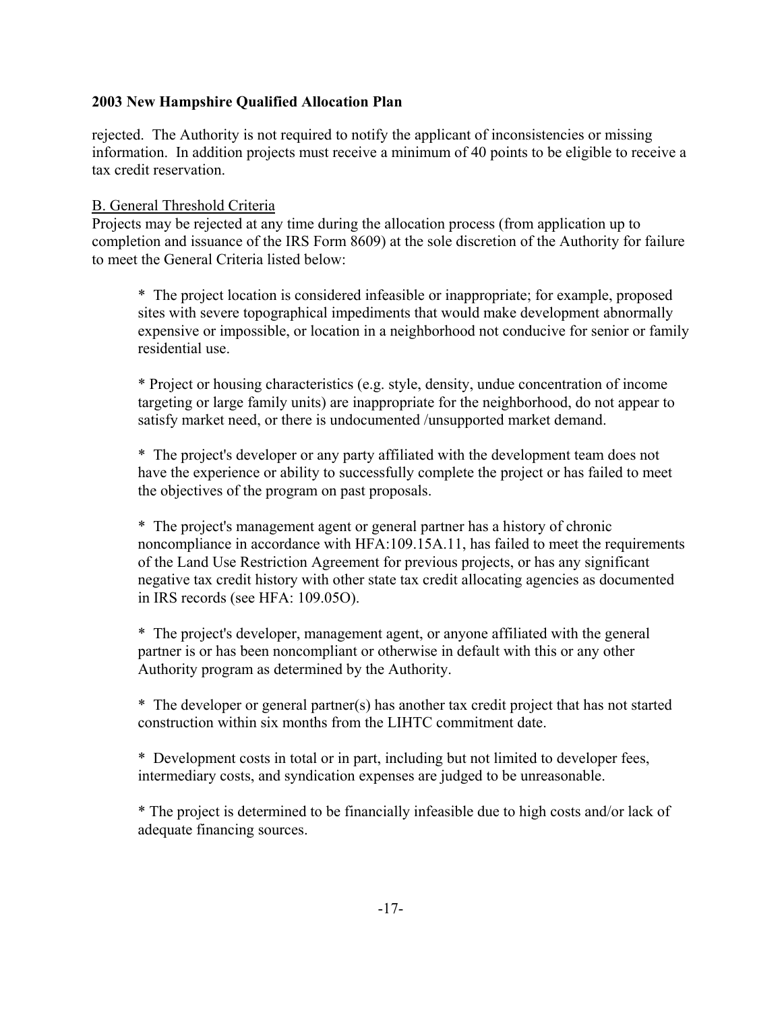rejected. The Authority is not required to notify the applicant of inconsistencies or missing information. In addition projects must receive a minimum of 40 points to be eligible to receive a tax credit reservation.

#### B. General Threshold Criteria

Projects may be rejected at any time during the allocation process (from application up to completion and issuance of the IRS Form 8609) at the sole discretion of the Authority for failure to meet the General Criteria listed below:

\* The project location is considered infeasible or inappropriate; for example, proposed sites with severe topographical impediments that would make development abnormally expensive or impossible, or location in a neighborhood not conducive for senior or family residential use.

\* Project or housing characteristics (e.g. style, density, undue concentration of income targeting or large family units) are inappropriate for the neighborhood, do not appear to satisfy market need, or there is undocumented /unsupported market demand.

\* The project's developer or any party affiliated with the development team does not have the experience or ability to successfully complete the project or has failed to meet the objectives of the program on past proposals.

\* The project's management agent or general partner has a history of chronic noncompliance in accordance with HFA:109.15A.11, has failed to meet the requirements of the Land Use Restriction Agreement for previous projects, or has any significant negative tax credit history with other state tax credit allocating agencies as documented in IRS records (see HFA: 109.05O).

\* The project's developer, management agent, or anyone affiliated with the general partner is or has been noncompliant or otherwise in default with this or any other Authority program as determined by the Authority.

\* The developer or general partner(s) has another tax credit project that has not started construction within six months from the LIHTC commitment date.

\* Development costs in total or in part, including but not limited to developer fees, intermediary costs, and syndication expenses are judged to be unreasonable.

\* The project is determined to be financially infeasible due to high costs and/or lack of adequate financing sources.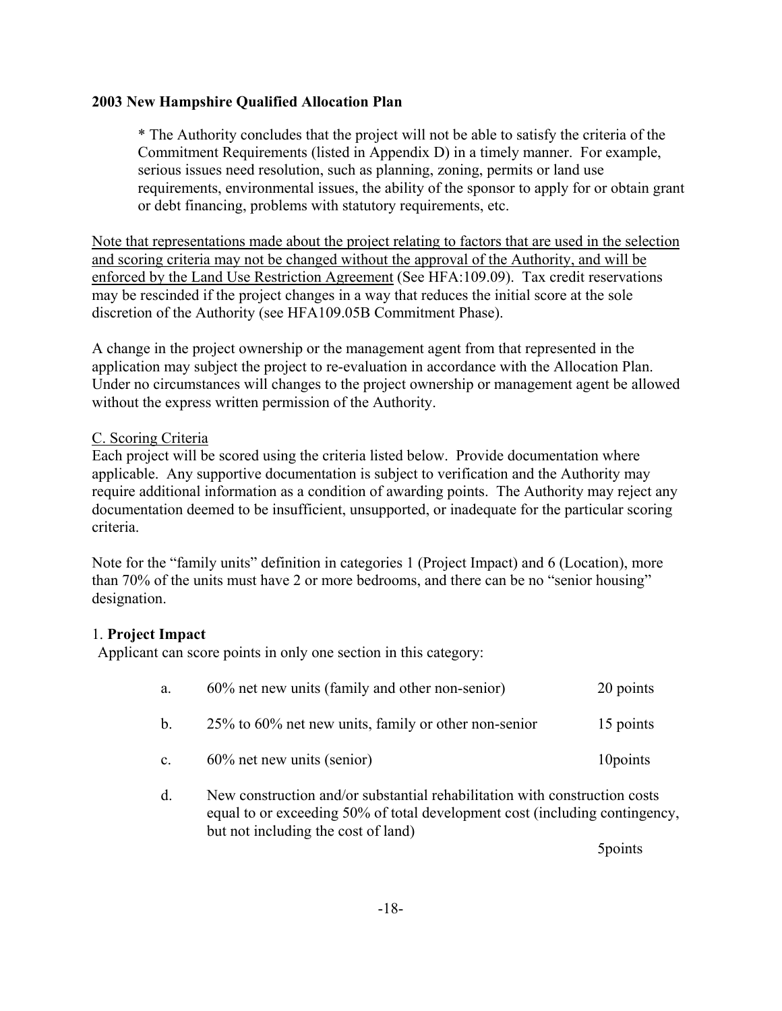\* The Authority concludes that the project will not be able to satisfy the criteria of the Commitment Requirements (listed in Appendix D) in a timely manner. For example, serious issues need resolution, such as planning, zoning, permits or land use requirements, environmental issues, the ability of the sponsor to apply for or obtain grant or debt financing, problems with statutory requirements, etc.

Note that representations made about the project relating to factors that are used in the selection and scoring criteria may not be changed without the approval of the Authority, and will be enforced by the Land Use Restriction Agreement (See HFA:109.09). Tax credit reservations may be rescinded if the project changes in a way that reduces the initial score at the sole discretion of the Authority (see HFA109.05B Commitment Phase).

A change in the project ownership or the management agent from that represented in the application may subject the project to re-evaluation in accordance with the Allocation Plan. Under no circumstances will changes to the project ownership or management agent be allowed without the express written permission of the Authority.

### C. Scoring Criteria

Each project will be scored using the criteria listed below. Provide documentation where applicable. Any supportive documentation is subject to verification and the Authority may require additional information as a condition of awarding points. The Authority may reject any documentation deemed to be insufficient, unsupported, or inadequate for the particular scoring criteria.

Note for the "family units" definition in categories 1 (Project Impact) and 6 (Location), more than 70% of the units must have 2 or more bedrooms, and there can be no "senior housing" designation.

## 1. **Project Impact**

Applicant can score points in only one section in this category:

| a.                   | 60% net new units (family and other non-senior)         | 20 points |
|----------------------|---------------------------------------------------------|-----------|
| b.                   | $25\%$ to 60% net new units, family or other non-senior | 15 points |
| $\mathbf{c}_{\cdot}$ | $60\%$ net new units (senior)                           | 10 points |

d. New construction and/or substantial rehabilitation with construction costs equal to or exceeding 50% of total development cost (including contingency, but not including the cost of land)

5points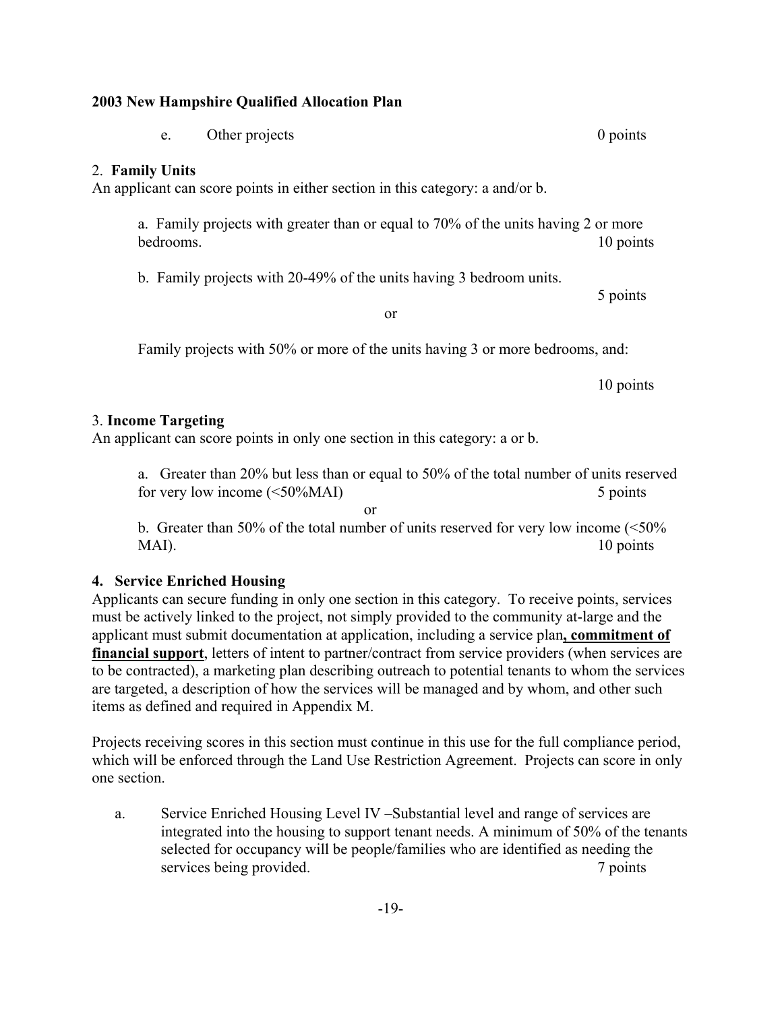e. Other projects 0 points 0 points

## 2. **Family Units**

An applicant can score points in either section in this category: a and/or b.

a. Family projects with greater than or equal to 70% of the units having 2 or more bedrooms. 10 points

b. Family projects with 20-49% of the units having 3 bedroom units.

or

Family projects with 50% or more of the units having 3 or more bedrooms, and:

10 points

## 3. **Income Targeting**

An applicant can score points in only one section in this category: a or b.

a. Greater than 20% but less than or equal to 50% of the total number of units reserved for very low income (<50%MAI) 5 points

 or b. Greater than 50% of the total number of units reserved for very low income (<50% MAI). 10 points

## **4. Service Enriched Housing**

Applicants can secure funding in only one section in this category. To receive points, services must be actively linked to the project, not simply provided to the community at-large and the applicant must submit documentation at application, including a service plan**, commitment of financial support**, letters of intent to partner/contract from service providers (when services are to be contracted), a marketing plan describing outreach to potential tenants to whom the services are targeted, a description of how the services will be managed and by whom, and other such items as defined and required in Appendix M.

Projects receiving scores in this section must continue in this use for the full compliance period, which will be enforced through the Land Use Restriction Agreement. Projects can score in only one section.

a. Service Enriched Housing Level IV –Substantial level and range of services are integrated into the housing to support tenant needs. A minimum of 50% of the tenants selected for occupancy will be people/families who are identified as needing the services being provided. The *7* points 7 points

5 points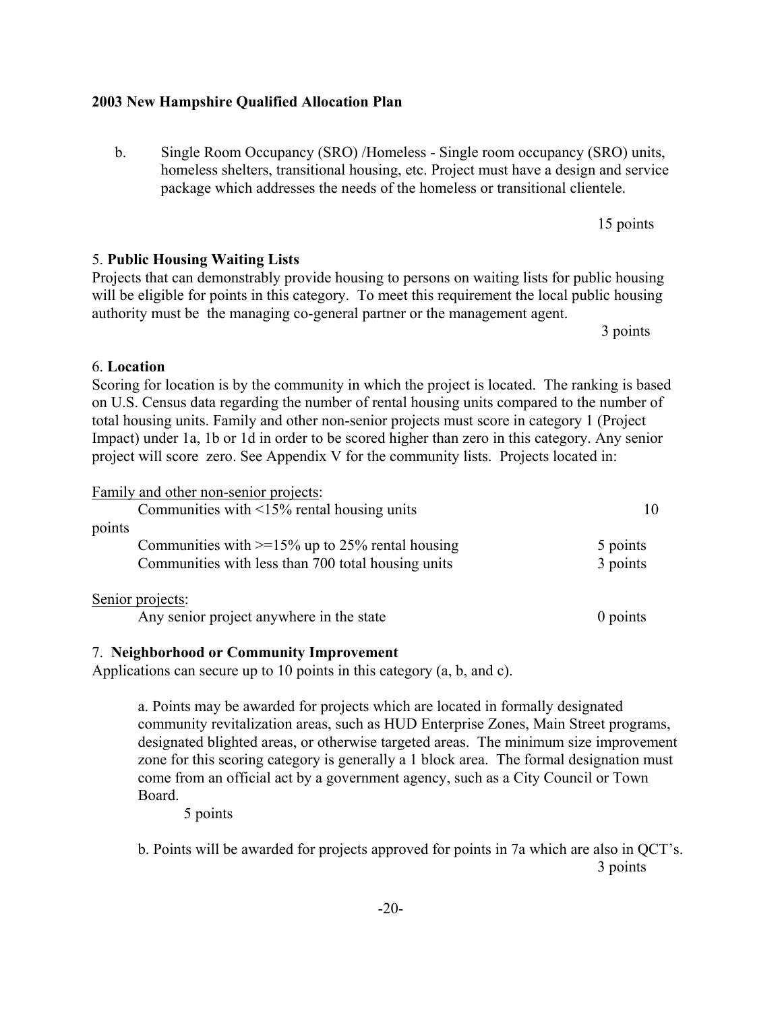b. Single Room Occupancy (SRO) /Homeless - Single room occupancy (SRO) units, homeless shelters, transitional housing, etc. Project must have a design and service package which addresses the needs of the homeless or transitional clientele.

## 5. **Public Housing Waiting Lists**

## 6. **Location**

Scoring for location is by the community in which the project is located. The ranking is based on U.S. Census data regarding the number of rental housing units compared to the number of total housing units. Family and other non-senior projects must score in category 1 (Project Impact) under 1a, 1b or 1d in order to be scored higher than zero in this category. Any senior project will score zero. See Appendix V for the community lists. Projects located in:

Projects that can demonstrably provide housing to persons on waiting lists for public housing will be eligible for points in this category. To meet this requirement the local public housing

authority must be the managing co-general partner or the management agent.

| Family and other non-senior projects:                |          |
|------------------------------------------------------|----------|
| Communities with $\leq$ 15% rental housing units     | 10       |
| points                                               |          |
| Communities with $\geq$ 15% up to 25% rental housing | 5 points |
| Communities with less than 700 total housing units   | 3 points |
| Senior projects:                                     |          |
| Any senior project anywhere in the state             | 0 points |

## 7. **Neighborhood or Community Improvement**

Applications can secure up to 10 points in this category (a, b, and c).

a. Points may be awarded for projects which are located in formally designated community revitalization areas, such as HUD Enterprise Zones, Main Street programs, designated blighted areas, or otherwise targeted areas. The minimum size improvement zone for this scoring category is generally a 1 block area. The formal designation must come from an official act by a government agency, such as a City Council or Town Board.

5 points

b. Points will be awarded for projects approved for points in 7a which are also in QCT's. 3 points

15 points

3 points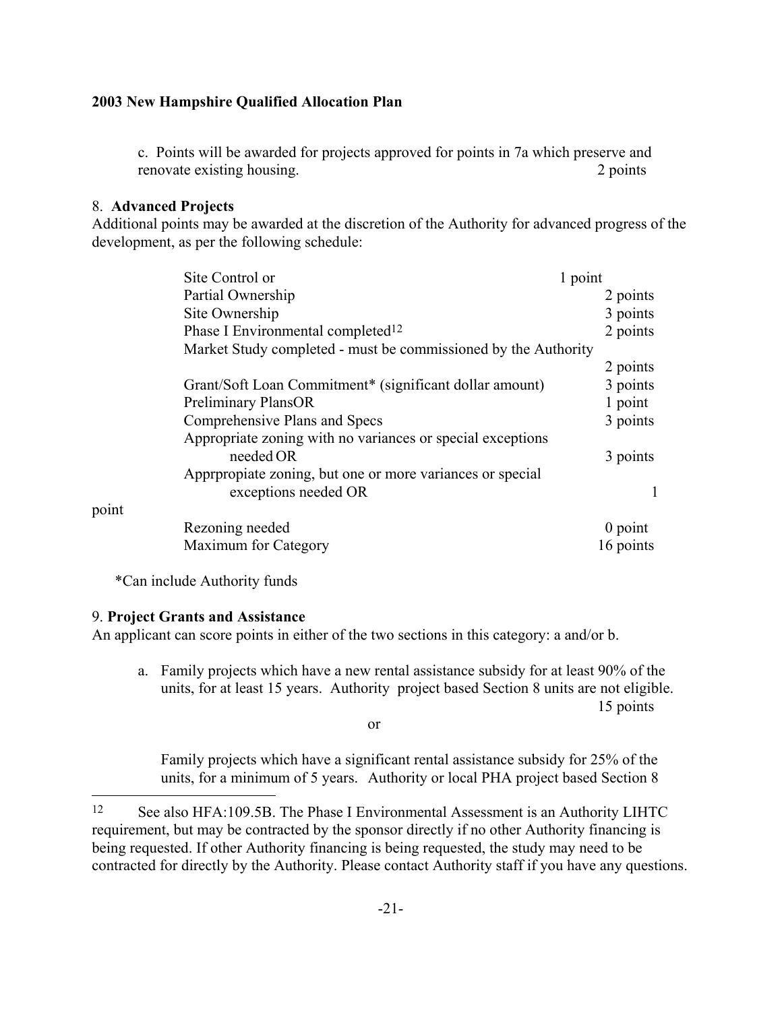c. Points will be awarded for projects approved for points in 7a which preserve and renovate existing housing. 2 points 2 points

#### 8. **Advanced Projects**

Additional points may be awarded at the discretion of the Authority for advanced progress of the development, as per the following schedule:

| Site Control or                                                | 1 point   |  |
|----------------------------------------------------------------|-----------|--|
| Partial Ownership                                              | 2 points  |  |
| Site Ownership                                                 | 3 points  |  |
| Phase I Environmental completed <sup>12</sup>                  | 2 points  |  |
| Market Study completed - must be commissioned by the Authority |           |  |
|                                                                | 2 points  |  |
| Grant/Soft Loan Commitment* (significant dollar amount)        | 3 points  |  |
| <b>Preliminary PlansOR</b>                                     | 1 point   |  |
| Comprehensive Plans and Specs                                  | 3 points  |  |
| Appropriate zoning with no variances or special exceptions     |           |  |
| needed OR                                                      | 3 points  |  |
| Appropoiate zoning, but one or more variances or special       |           |  |
| exceptions needed OR                                           |           |  |
| point                                                          |           |  |
| Rezoning needed                                                | $0$ point |  |
| Maximum for Category                                           | 16 points |  |

\*Can include Authority funds

#### 9. **Project Grants and Assistance**

point

i.

An applicant can score points in either of the two sections in this category: a and/or b.

a. Family projects which have a new rental assistance subsidy for at least 90% of the units, for at least 15 years. Authority project based Section 8 units are not eligible. 15 points

or

Family projects which have a significant rental assistance subsidy for 25% of the units, for a minimum of 5 years. Authority or local PHA project based Section 8

<span id="page-26-0"></span><sup>12</sup> See also HFA:109.5B. The Phase I Environmental Assessment is an Authority LIHTC requirement, but may be contracted by the sponsor directly if no other Authority financing is being requested. If other Authority financing is being requested, the study may need to be contracted for directly by the Authority. Please contact Authority staff if you have any questions.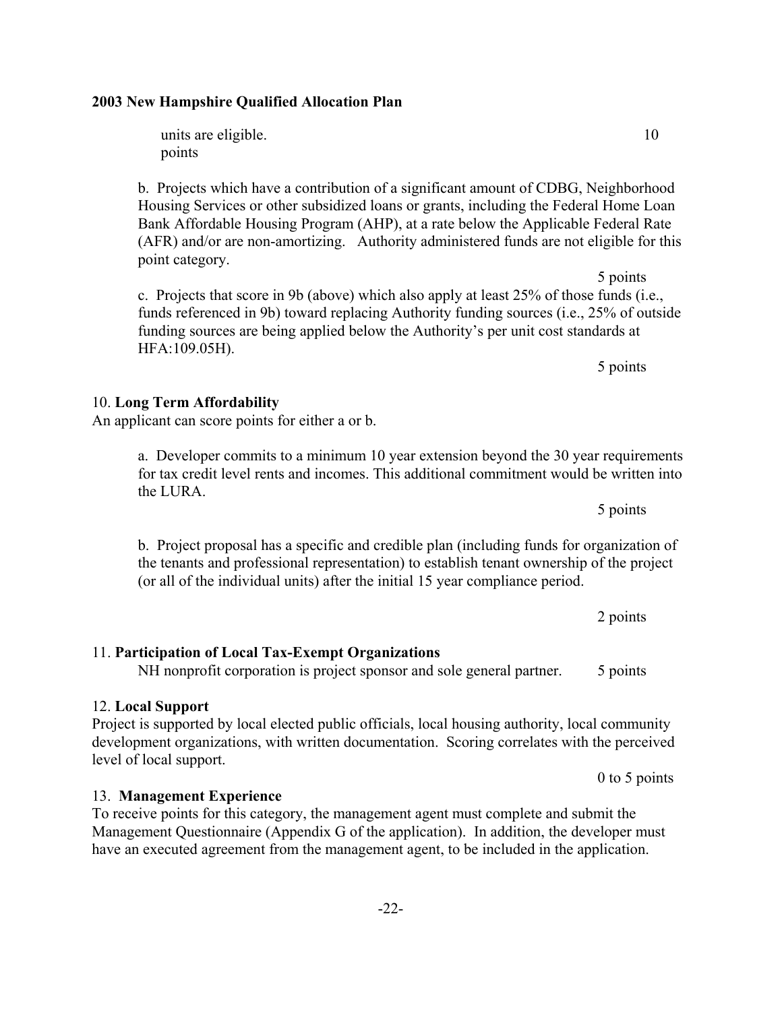units are eligible. 10 points

b. Projects which have a contribution of a significant amount of CDBG, Neighborhood Housing Services or other subsidized loans or grants, including the Federal Home Loan Bank Affordable Housing Program (AHP), at a rate below the Applicable Federal Rate (AFR) and/or are non-amortizing. Authority administered funds are not eligible for this point category.

5 points c. Projects that score in 9b (above) which also apply at least 25% of those funds (i.e., funds referenced in 9b) toward replacing Authority funding sources (i.e., 25% of outside funding sources are being applied below the Authority's per unit cost standards at HFA:109.05H).

for tax credit level rents and incomes. This additional commitment would be written into the LURA. 5 points

b. Project proposal has a specific and credible plan (including funds for organization of the tenants and professional representation) to establish tenant ownership of the project (or all of the individual units) after the initial 15 year compliance period.

11. **Participation of Local Tax-Exempt Organizations** NH nonprofit corporation is project sponsor and sole general partner. 5 points

#### 12. **Local Support**

13. **Management Experience**

Project is supported by local elected public officials, local housing authority, local community development organizations, with written documentation. Scoring correlates with the perceived level of local support.

To receive points for this category, the management agent must complete and submit the Management Questionnaire (Appendix G of the application). In addition, the developer must have an executed agreement from the management agent, to be included in the application.

#### 10. **Long Term Affordability**

An applicant can score points for either a or b.

a. Developer commits to a minimum 10 year extension beyond the 30 year requirements

2 points

5 points

0 to 5 points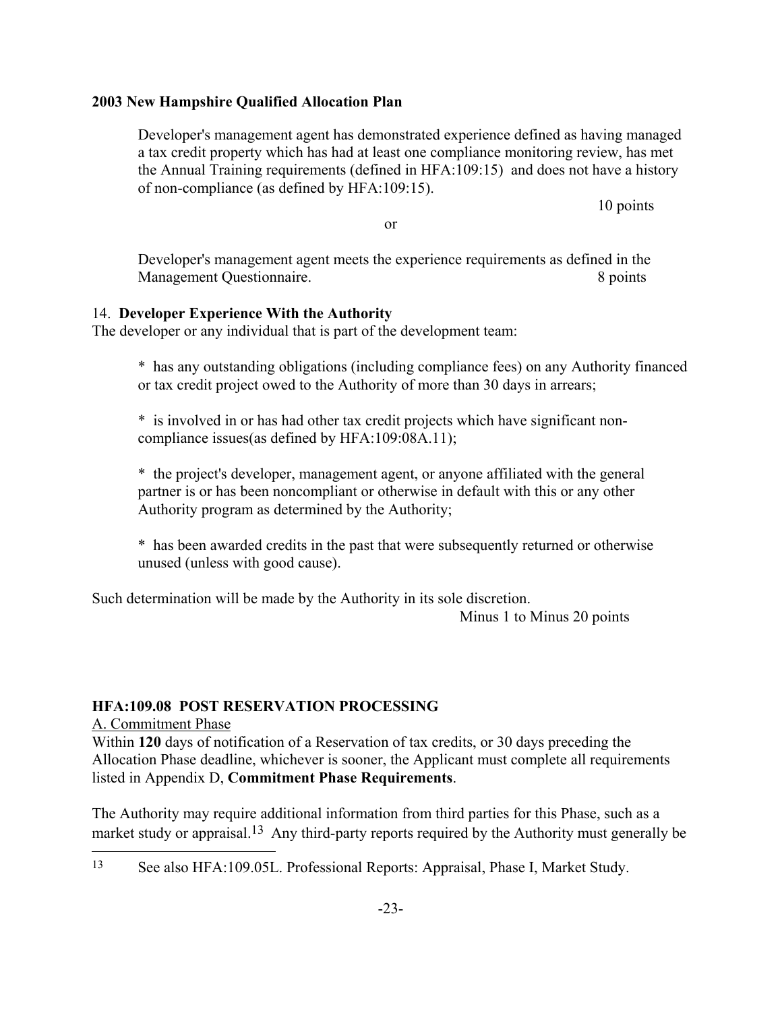Developer's management agent has demonstrated experience defined as having managed a tax credit property which has had at least one compliance monitoring review, has met the Annual Training requirements (defined in HFA:109:15) and does not have a history of non-compliance (as defined by HFA:109:15).

10 points

or

Developer's management agent meets the experience requirements as defined in the Management Questionnaire. 8 points

## 14. **Developer Experience With the Authority**

The developer or any individual that is part of the development team:

\* has any outstanding obligations (including compliance fees) on any Authority financed or tax credit project owed to the Authority of more than 30 days in arrears;

\* is involved in or has had other tax credit projects which have significant noncompliance issues(as defined by HFA:109:08A.11);

\* the project's developer, management agent, or anyone affiliated with the general partner is or has been noncompliant or otherwise in default with this or any other Authority program as determined by the Authority;

\* has been awarded credits in the past that were subsequently returned or otherwise unused (unless with good cause).

Such determination will be made by the Authority in its sole discretion.

Minus 1 to Minus 20 points

## **HFA:109.08 POST RESERVATION PROCESSING**

A. Commitment Phase

j.

Within **120** days of notification of a Reservation of tax credits, or 30 days preceding the Allocation Phase deadline, whichever is sooner, the Applicant must complete all requirements listed in Appendix D, **Commitment Phase Requirements**.

The Authority may require additional information from third parties for this Phase, such as a market study or appraisal.<sup>[13](#page-28-0)</sup> Any third-party reports required by the Authority must generally be

<span id="page-28-0"></span><sup>13</sup> See also HFA:109.05L. Professional Reports: Appraisal, Phase I, Market Study.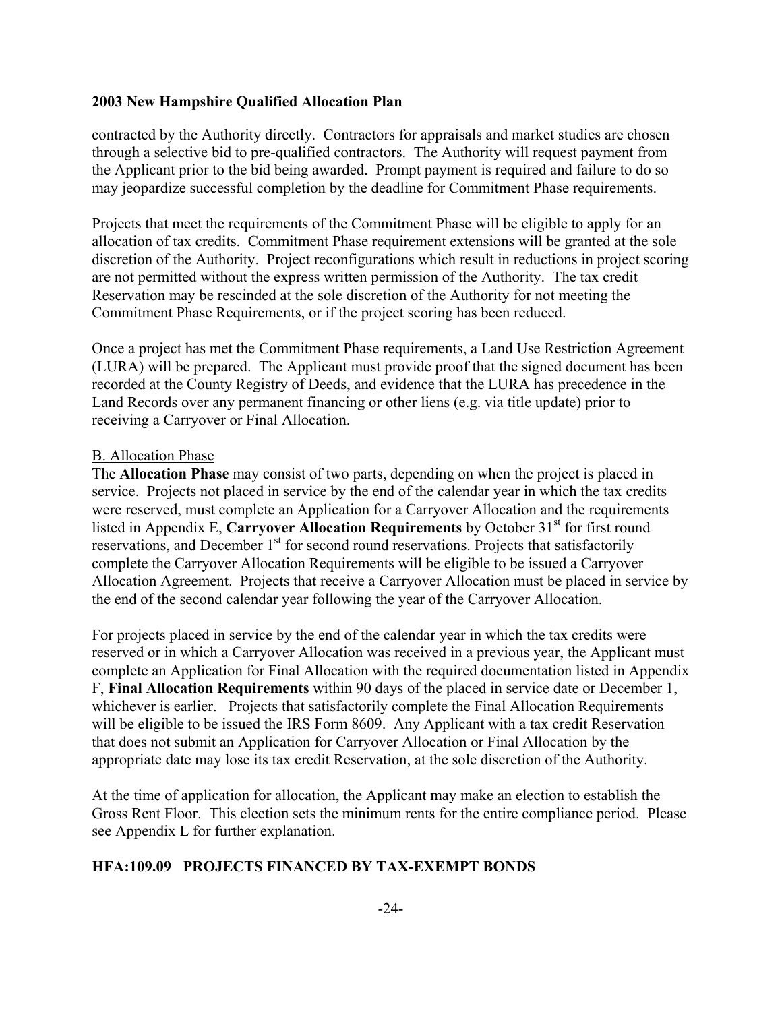contracted by the Authority directly. Contractors for appraisals and market studies are chosen through a selective bid to pre-qualified contractors. The Authority will request payment from the Applicant prior to the bid being awarded. Prompt payment is required and failure to do so may jeopardize successful completion by the deadline for Commitment Phase requirements.

Projects that meet the requirements of the Commitment Phase will be eligible to apply for an allocation of tax credits. Commitment Phase requirement extensions will be granted at the sole discretion of the Authority. Project reconfigurations which result in reductions in project scoring are not permitted without the express written permission of the Authority. The tax credit Reservation may be rescinded at the sole discretion of the Authority for not meeting the Commitment Phase Requirements, or if the project scoring has been reduced.

Once a project has met the Commitment Phase requirements, a Land Use Restriction Agreement (LURA) will be prepared. The Applicant must provide proof that the signed document has been recorded at the County Registry of Deeds, and evidence that the LURA has precedence in the Land Records over any permanent financing or other liens (e.g. via title update) prior to receiving a Carryover or Final Allocation.

#### B. Allocation Phase

The **Allocation Phase** may consist of two parts, depending on when the project is placed in service. Projects not placed in service by the end of the calendar year in which the tax credits were reserved, must complete an Application for a Carryover Allocation and the requirements listed in Appendix E, **Carryover Allocation Requirements** by October 31<sup>st</sup> for first round reservations, and December  $1<sup>st</sup>$  for second round reservations. Projects that satisfactorily complete the Carryover Allocation Requirements will be eligible to be issued a Carryover Allocation Agreement. Projects that receive a Carryover Allocation must be placed in service by the end of the second calendar year following the year of the Carryover Allocation.

For projects placed in service by the end of the calendar year in which the tax credits were reserved or in which a Carryover Allocation was received in a previous year, the Applicant must complete an Application for Final Allocation with the required documentation listed in Appendix F, **Final Allocation Requirements** within 90 days of the placed in service date or December 1, whichever is earlier. Projects that satisfactorily complete the Final Allocation Requirements will be eligible to be issued the IRS Form 8609. Any Applicant with a tax credit Reservation that does not submit an Application for Carryover Allocation or Final Allocation by the appropriate date may lose its tax credit Reservation, at the sole discretion of the Authority.

At the time of application for allocation, the Applicant may make an election to establish the Gross Rent Floor. This election sets the minimum rents for the entire compliance period. Please see Appendix L for further explanation.

#### **HFA:109.09 PROJECTS FINANCED BY TAX-EXEMPT BONDS**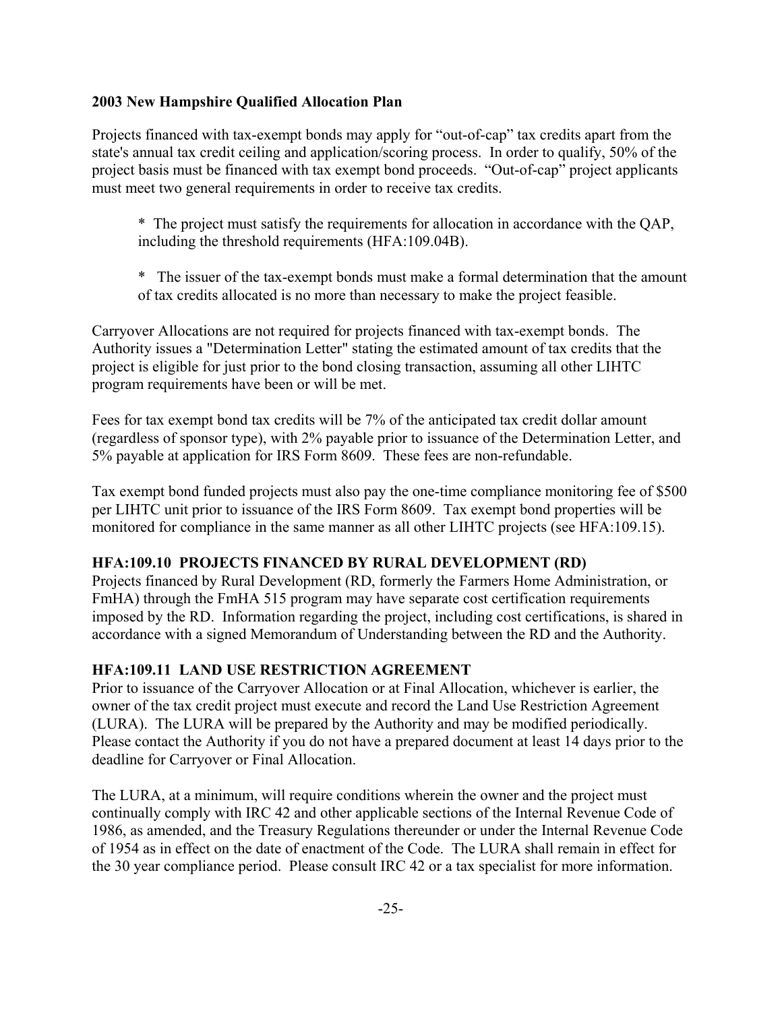Projects financed with tax-exempt bonds may apply for "out-of-cap" tax credits apart from the state's annual tax credit ceiling and application/scoring process. In order to qualify, 50% of the project basis must be financed with tax exempt bond proceeds. "Out-of-cap" project applicants must meet two general requirements in order to receive tax credits.

- \* The project must satisfy the requirements for allocation in accordance with the QAP, including the threshold requirements (HFA:109.04B).
- \* The issuer of the tax-exempt bonds must make a formal determination that the amount of tax credits allocated is no more than necessary to make the project feasible.

Carryover Allocations are not required for projects financed with tax-exempt bonds. The Authority issues a "Determination Letter" stating the estimated amount of tax credits that the project is eligible for just prior to the bond closing transaction, assuming all other LIHTC program requirements have been or will be met.

Fees for tax exempt bond tax credits will be 7% of the anticipated tax credit dollar amount (regardless of sponsor type), with 2% payable prior to issuance of the Determination Letter, and 5% payable at application for IRS Form 8609. These fees are non-refundable.

Tax exempt bond funded projects must also pay the one-time compliance monitoring fee of \$500 per LIHTC unit prior to issuance of the IRS Form 8609. Tax exempt bond properties will be monitored for compliance in the same manner as all other LIHTC projects (see HFA:109.15).

## **HFA:109.10 PROJECTS FINANCED BY RURAL DEVELOPMENT (RD)**

Projects financed by Rural Development (RD, formerly the Farmers Home Administration, or FmHA) through the FmHA 515 program may have separate cost certification requirements imposed by the RD. Information regarding the project, including cost certifications, is shared in accordance with a signed Memorandum of Understanding between the RD and the Authority.

## **HFA:109.11 LAND USE RESTRICTION AGREEMENT**

Prior to issuance of the Carryover Allocation or at Final Allocation, whichever is earlier, the owner of the tax credit project must execute and record the Land Use Restriction Agreement (LURA). The LURA will be prepared by the Authority and may be modified periodically. Please contact the Authority if you do not have a prepared document at least 14 days prior to the deadline for Carryover or Final Allocation.

The LURA, at a minimum, will require conditions wherein the owner and the project must continually comply with IRC 42 and other applicable sections of the Internal Revenue Code of 1986, as amended, and the Treasury Regulations thereunder or under the Internal Revenue Code of 1954 as in effect on the date of enactment of the Code. The LURA shall remain in effect for the 30 year compliance period. Please consult IRC 42 or a tax specialist for more information.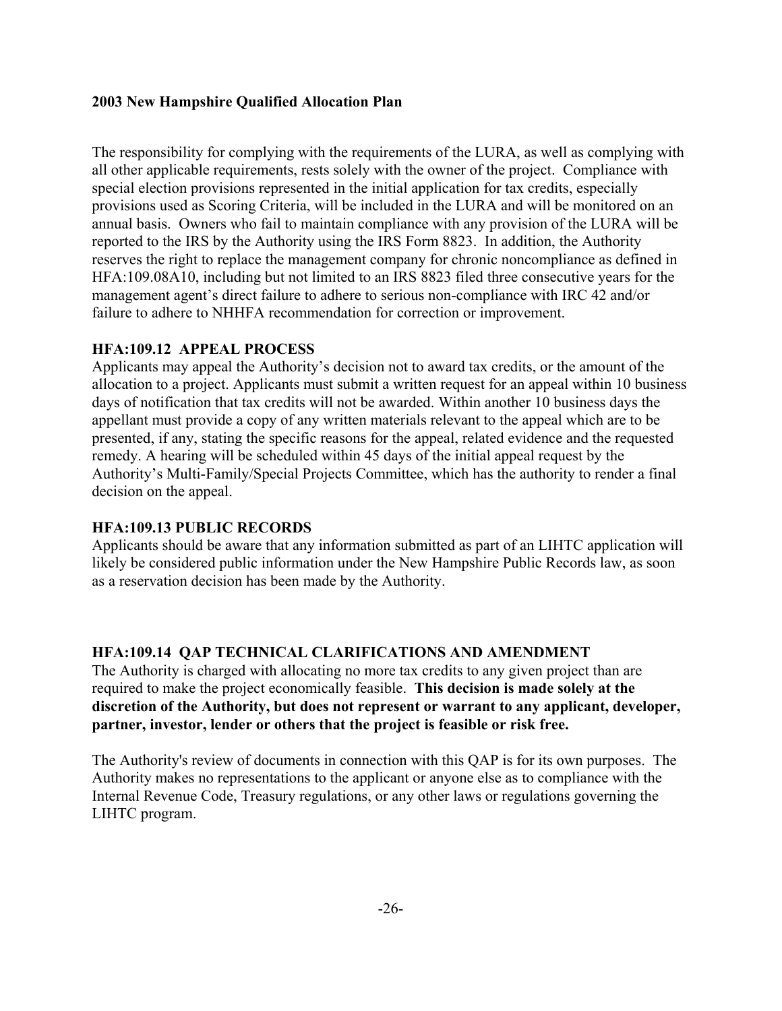The responsibility for complying with the requirements of the LURA, as well as complying with all other applicable requirements, rests solely with the owner of the project. Compliance with special election provisions represented in the initial application for tax credits, especially provisions used as Scoring Criteria, will be included in the LURA and will be monitored on an annual basis. Owners who fail to maintain compliance with any provision of the LURA will be reported to the IRS by the Authority using the IRS Form 8823. In addition, the Authority reserves the right to replace the management company for chronic noncompliance as defined in HFA:109.08A10, including but not limited to an IRS 8823 filed three consecutive years for the management agent's direct failure to adhere to serious non-compliance with IRC 42 and/or failure to adhere to NHHFA recommendation for correction or improvement.

### **HFA:109.12 APPEAL PROCESS**

Applicants may appeal the Authority's decision not to award tax credits, or the amount of the allocation to a project. Applicants must submit a written request for an appeal within 10 business days of notification that tax credits will not be awarded. Within another 10 business days the appellant must provide a copy of any written materials relevant to the appeal which are to be presented, if any, stating the specific reasons for the appeal, related evidence and the requested remedy. A hearing will be scheduled within 45 days of the initial appeal request by the Authority's Multi-Family/Special Projects Committee, which has the authority to render a final decision on the appeal.

## **HFA:109.13 PUBLIC RECORDS**

Applicants should be aware that any information submitted as part of an LIHTC application will likely be considered public information under the New Hampshire Public Records law, as soon as a reservation decision has been made by the Authority.

## **HFA:109.14 QAP TECHNICAL CLARIFICATIONS AND AMENDMENT**

The Authority is charged with allocating no more tax credits to any given project than are required to make the project economically feasible. **This decision is made solely at the discretion of the Authority, but does not represent or warrant to any applicant, developer, partner, investor, lender or others that the project is feasible or risk free.**

The Authority's review of documents in connection with this QAP is for its own purposes. The Authority makes no representations to the applicant or anyone else as to compliance with the Internal Revenue Code, Treasury regulations, or any other laws or regulations governing the LIHTC program.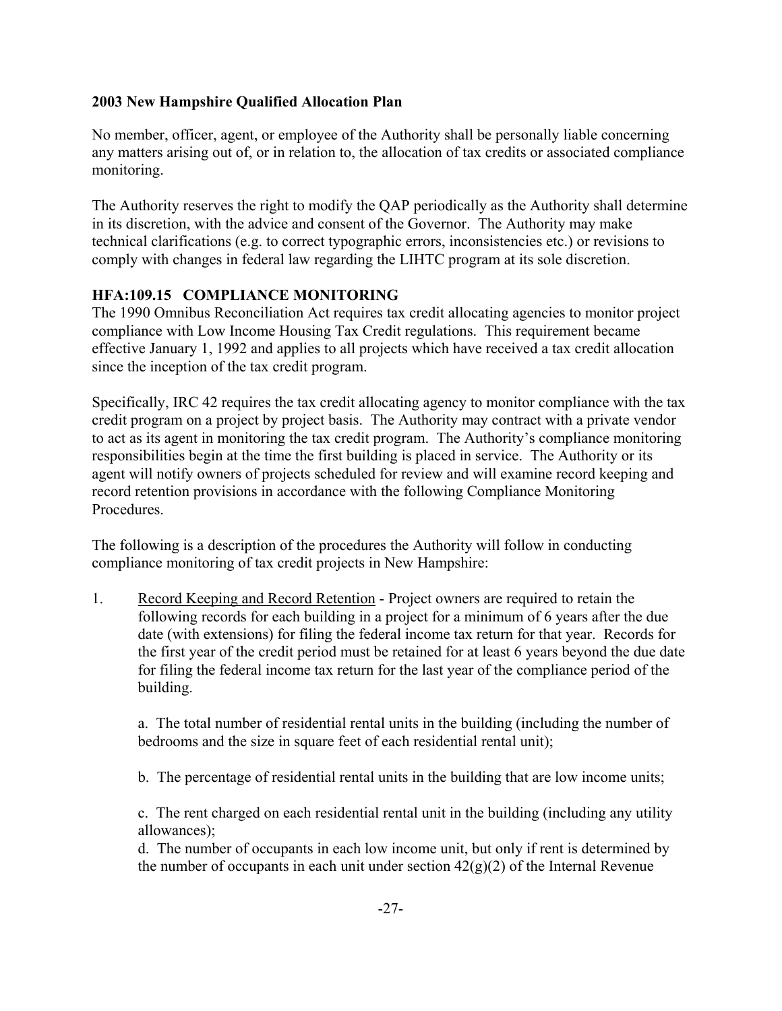No member, officer, agent, or employee of the Authority shall be personally liable concerning any matters arising out of, or in relation to, the allocation of tax credits or associated compliance monitoring.

The Authority reserves the right to modify the QAP periodically as the Authority shall determine in its discretion, with the advice and consent of the Governor. The Authority may make technical clarifications (e.g. to correct typographic errors, inconsistencies etc.) or revisions to comply with changes in federal law regarding the LIHTC program at its sole discretion.

## **HFA:109.15 COMPLIANCE MONITORING**

The 1990 Omnibus Reconciliation Act requires tax credit allocating agencies to monitor project compliance with Low Income Housing Tax Credit regulations. This requirement became effective January 1, 1992 and applies to all projects which have received a tax credit allocation since the inception of the tax credit program.

Specifically, IRC 42 requires the tax credit allocating agency to monitor compliance with the tax credit program on a project by project basis. The Authority may contract with a private vendor to act as its agent in monitoring the tax credit program. The Authority's compliance monitoring responsibilities begin at the time the first building is placed in service. The Authority or its agent will notify owners of projects scheduled for review and will examine record keeping and record retention provisions in accordance with the following Compliance Monitoring **Procedures** 

The following is a description of the procedures the Authority will follow in conducting compliance monitoring of tax credit projects in New Hampshire:

1. Record Keeping and Record Retention - Project owners are required to retain the following records for each building in a project for a minimum of 6 years after the due date (with extensions) for filing the federal income tax return for that year. Records for the first year of the credit period must be retained for at least 6 years beyond the due date for filing the federal income tax return for the last year of the compliance period of the building.

a. The total number of residential rental units in the building (including the number of bedrooms and the size in square feet of each residential rental unit);

b. The percentage of residential rental units in the building that are low income units;

c. The rent charged on each residential rental unit in the building (including any utility allowances);

d. The number of occupants in each low income unit, but only if rent is determined by the number of occupants in each unit under section  $42(g)(2)$  of the Internal Revenue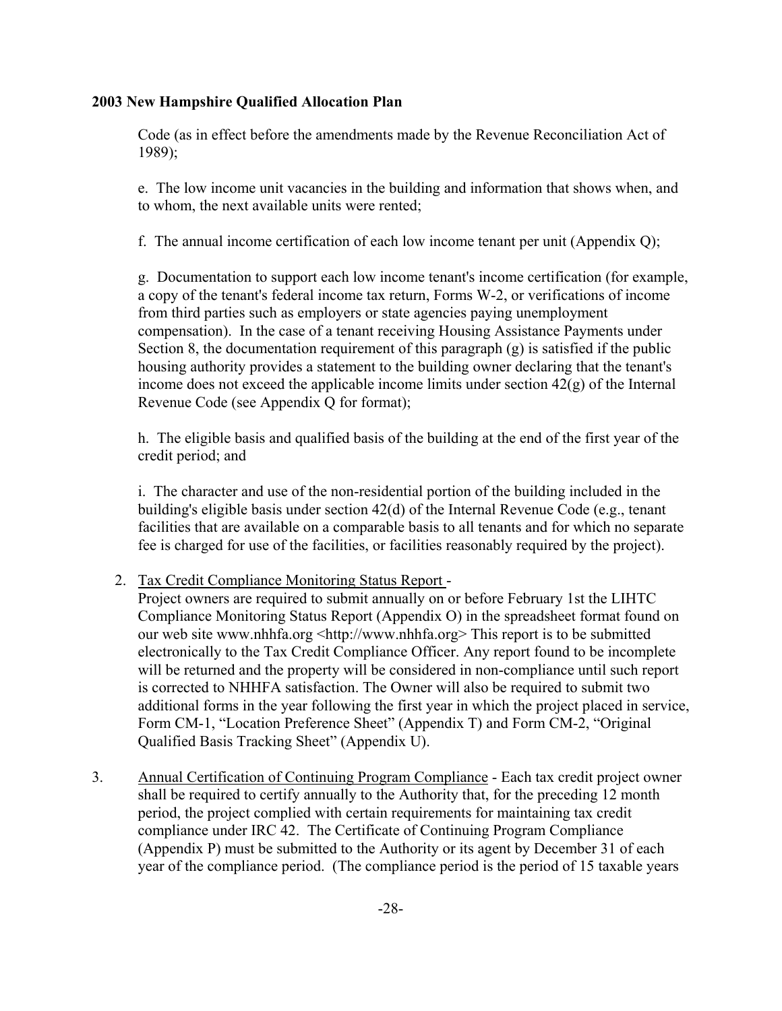Code (as in effect before the amendments made by the Revenue Reconciliation Act of 1989);

e. The low income unit vacancies in the building and information that shows when, and to whom, the next available units were rented;

f. The annual income certification of each low income tenant per unit (Appendix Q);

g. Documentation to support each low income tenant's income certification (for example, a copy of the tenant's federal income tax return, Forms W-2, or verifications of income from third parties such as employers or state agencies paying unemployment compensation). In the case of a tenant receiving Housing Assistance Payments under Section 8, the documentation requirement of this paragraph (g) is satisfied if the public housing authority provides a statement to the building owner declaring that the tenant's income does not exceed the applicable income limits under section  $42(g)$  of the Internal Revenue Code (see Appendix Q for format);

h. The eligible basis and qualified basis of the building at the end of the first year of the credit period; and

i. The character and use of the non-residential portion of the building included in the building's eligible basis under section 42(d) of the Internal Revenue Code (e.g., tenant facilities that are available on a comparable basis to all tenants and for which no separate fee is charged for use of the facilities, or facilities reasonably required by the project).

## 2. Tax Credit Compliance Monitoring Status Report -

Project owners are required to submit annually on or before February 1st the LIHTC Compliance Monitoring Status Report (Appendix O) in the spreadsheet format found on our web site www.nhhfa.org <http://www.nhhfa.org> This report is to be submitted electronically to the Tax Credit Compliance Officer. Any report found to be incomplete will be returned and the property will be considered in non-compliance until such report is corrected to NHHFA satisfaction. The Owner will also be required to submit two additional forms in the year following the first year in which the project placed in service, Form CM-1, "Location Preference Sheet" (Appendix T) and Form CM-2, "Original Qualified Basis Tracking Sheet" (Appendix U).

3. Annual Certification of Continuing Program Compliance - Each tax credit project owner shall be required to certify annually to the Authority that, for the preceding 12 month period, the project complied with certain requirements for maintaining tax credit compliance under IRC 42. The Certificate of Continuing Program Compliance (Appendix P) must be submitted to the Authority or its agent by December 31 of each year of the compliance period. (The compliance period is the period of 15 taxable years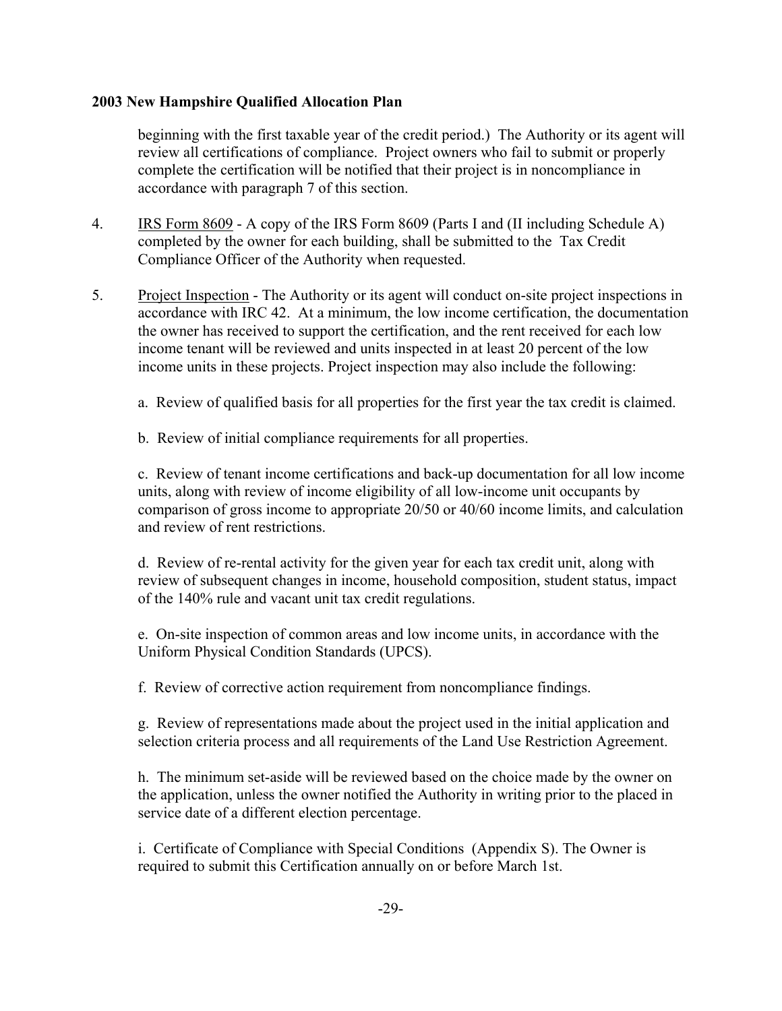beginning with the first taxable year of the credit period.) The Authority or its agent will review all certifications of compliance. Project owners who fail to submit or properly complete the certification will be notified that their project is in noncompliance in accordance with paragraph 7 of this section.

- 4. IRS Form 8609 A copy of the IRS Form 8609 (Parts I and (II including Schedule A) completed by the owner for each building, shall be submitted to the Tax Credit Compliance Officer of the Authority when requested.
- 5. Project Inspection The Authority or its agent will conduct on-site project inspections in accordance with IRC 42. At a minimum, the low income certification, the documentation the owner has received to support the certification, and the rent received for each low income tenant will be reviewed and units inspected in at least 20 percent of the low income units in these projects. Project inspection may also include the following:
	- a. Review of qualified basis for all properties for the first year the tax credit is claimed.
	- b. Review of initial compliance requirements for all properties.

c. Review of tenant income certifications and back-up documentation for all low income units, along with review of income eligibility of all low-income unit occupants by comparison of gross income to appropriate 20/50 or 40/60 income limits, and calculation and review of rent restrictions.

d. Review of re-rental activity for the given year for each tax credit unit, along with review of subsequent changes in income, household composition, student status, impact of the 140% rule and vacant unit tax credit regulations.

e. On-site inspection of common areas and low income units, in accordance with the Uniform Physical Condition Standards (UPCS).

f. Review of corrective action requirement from noncompliance findings.

 g. Review of representations made about the project used in the initial application and selection criteria process and all requirements of the Land Use Restriction Agreement.

 h. The minimum set-aside will be reviewed based on the choice made by the owner on the application, unless the owner notified the Authority in writing prior to the placed in service date of a different election percentage.

 i. Certificate of Compliance with Special Conditions (Appendix S). The Owner is required to submit this Certification annually on or before March 1st.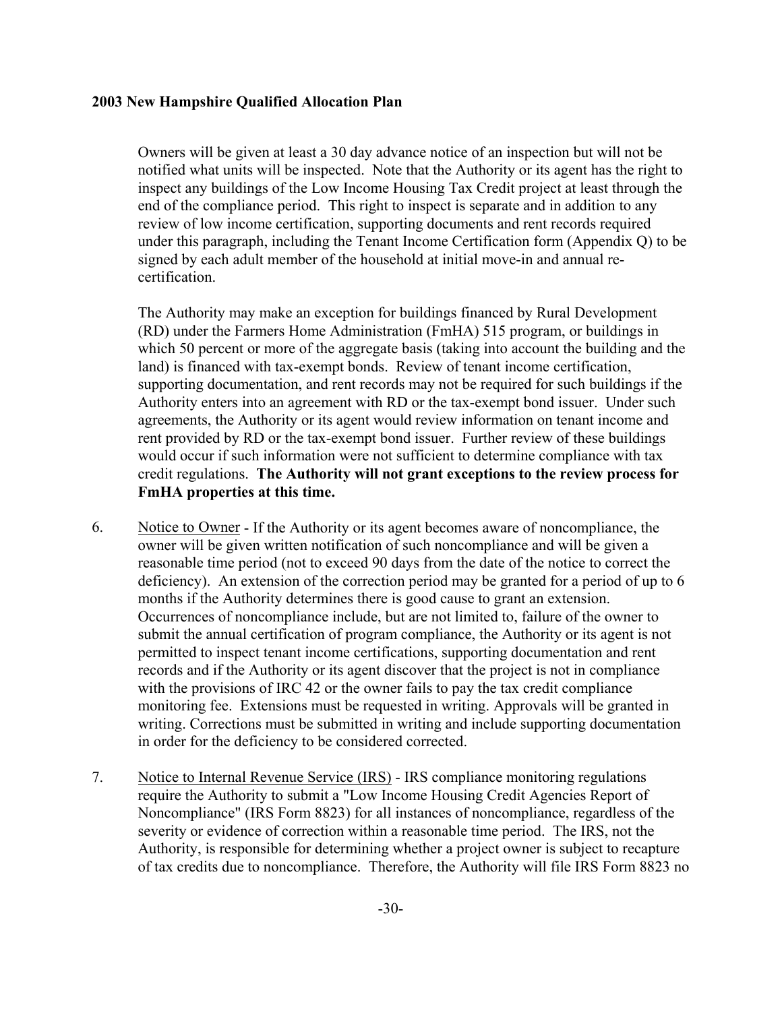Owners will be given at least a 30 day advance notice of an inspection but will not be notified what units will be inspected. Note that the Authority or its agent has the right to inspect any buildings of the Low Income Housing Tax Credit project at least through the end of the compliance period. This right to inspect is separate and in addition to any review of low income certification, supporting documents and rent records required under this paragraph, including the Tenant Income Certification form (Appendix Q) to be signed by each adult member of the household at initial move-in and annual recertification.

The Authority may make an exception for buildings financed by Rural Development (RD) under the Farmers Home Administration (FmHA) 515 program, or buildings in which 50 percent or more of the aggregate basis (taking into account the building and the land) is financed with tax-exempt bonds. Review of tenant income certification, supporting documentation, and rent records may not be required for such buildings if the Authority enters into an agreement with RD or the tax-exempt bond issuer. Under such agreements, the Authority or its agent would review information on tenant income and rent provided by RD or the tax-exempt bond issuer. Further review of these buildings would occur if such information were not sufficient to determine compliance with tax credit regulations. **The Authority will not grant exceptions to the review process for FmHA properties at this time.**

- 6. Notice to Owner If the Authority or its agent becomes aware of noncompliance, the owner will be given written notification of such noncompliance and will be given a reasonable time period (not to exceed 90 days from the date of the notice to correct the deficiency). An extension of the correction period may be granted for a period of up to 6 months if the Authority determines there is good cause to grant an extension. Occurrences of noncompliance include, but are not limited to, failure of the owner to submit the annual certification of program compliance, the Authority or its agent is not permitted to inspect tenant income certifications, supporting documentation and rent records and if the Authority or its agent discover that the project is not in compliance with the provisions of IRC 42 or the owner fails to pay the tax credit compliance monitoring fee. Extensions must be requested in writing. Approvals will be granted in writing. Corrections must be submitted in writing and include supporting documentation in order for the deficiency to be considered corrected.
- 7. Notice to Internal Revenue Service (IRS) IRS compliance monitoring regulations require the Authority to submit a "Low Income Housing Credit Agencies Report of Noncompliance" (IRS Form 8823) for all instances of noncompliance, regardless of the severity or evidence of correction within a reasonable time period. The IRS, not the Authority, is responsible for determining whether a project owner is subject to recapture of tax credits due to noncompliance. Therefore, the Authority will file IRS Form 8823 no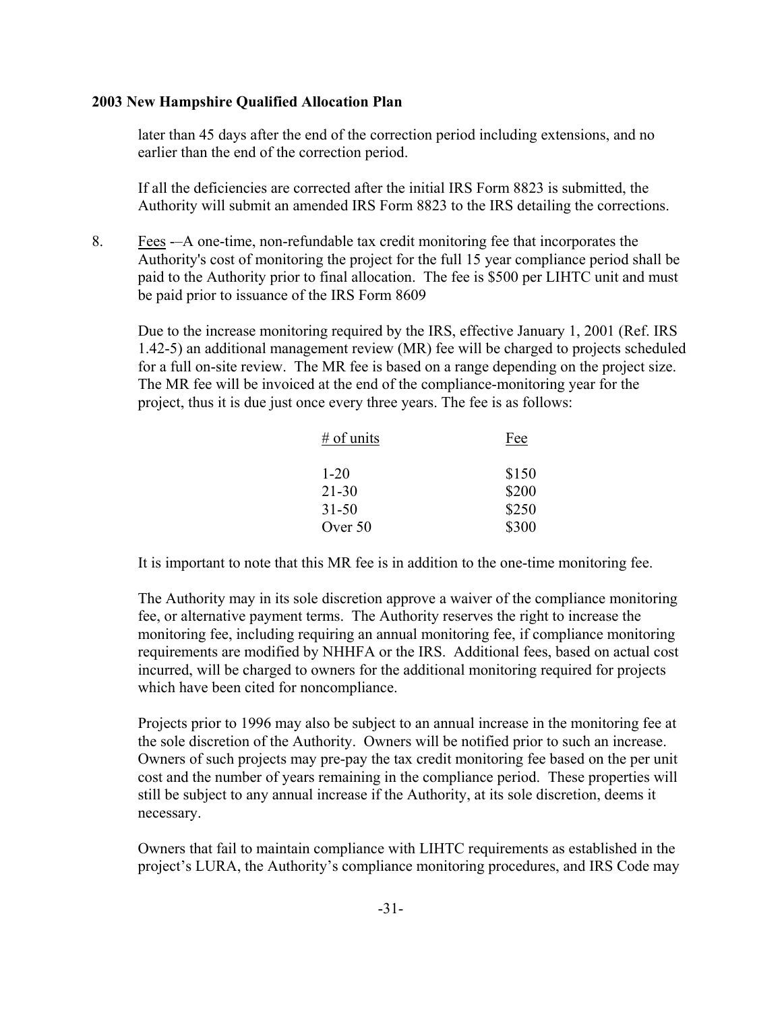later than 45 days after the end of the correction period including extensions, and no earlier than the end of the correction period.

If all the deficiencies are corrected after the initial IRS Form 8823 is submitted, the Authority will submit an amended IRS Form 8823 to the IRS detailing the corrections.

8. Fees -–A one-time, non-refundable tax credit monitoring fee that incorporates the Authority's cost of monitoring the project for the full 15 year compliance period shall be paid to the Authority prior to final allocation. The fee is \$500 per LIHTC unit and must be paid prior to issuance of the IRS Form 8609

Due to the increase monitoring required by the IRS, effective January 1, 2001 (Ref. IRS 1.42-5) an additional management review (MR) fee will be charged to projects scheduled for a full on-site review. The MR fee is based on a range depending on the project size. The MR fee will be invoiced at the end of the compliance-monitoring year for the project, thus it is due just once every three years. The fee is as follows:

| $#$ of units | Fee   |
|--------------|-------|
| $1 - 20$     | \$150 |
| $21 - 30$    | \$200 |
| $31 - 50$    | \$250 |
| Over 50      | \$300 |

It is important to note that this MR fee is in addition to the one-time monitoring fee.

The Authority may in its sole discretion approve a waiver of the compliance monitoring fee, or alternative payment terms. The Authority reserves the right to increase the monitoring fee, including requiring an annual monitoring fee, if compliance monitoring requirements are modified by NHHFA or the IRS. Additional fees, based on actual cost incurred, will be charged to owners for the additional monitoring required for projects which have been cited for noncompliance.

Projects prior to 1996 may also be subject to an annual increase in the monitoring fee at the sole discretion of the Authority. Owners will be notified prior to such an increase. Owners of such projects may pre-pay the tax credit monitoring fee based on the per unit cost and the number of years remaining in the compliance period. These properties will still be subject to any annual increase if the Authority, at its sole discretion, deems it necessary.

Owners that fail to maintain compliance with LIHTC requirements as established in the project's LURA, the Authority's compliance monitoring procedures, and IRS Code may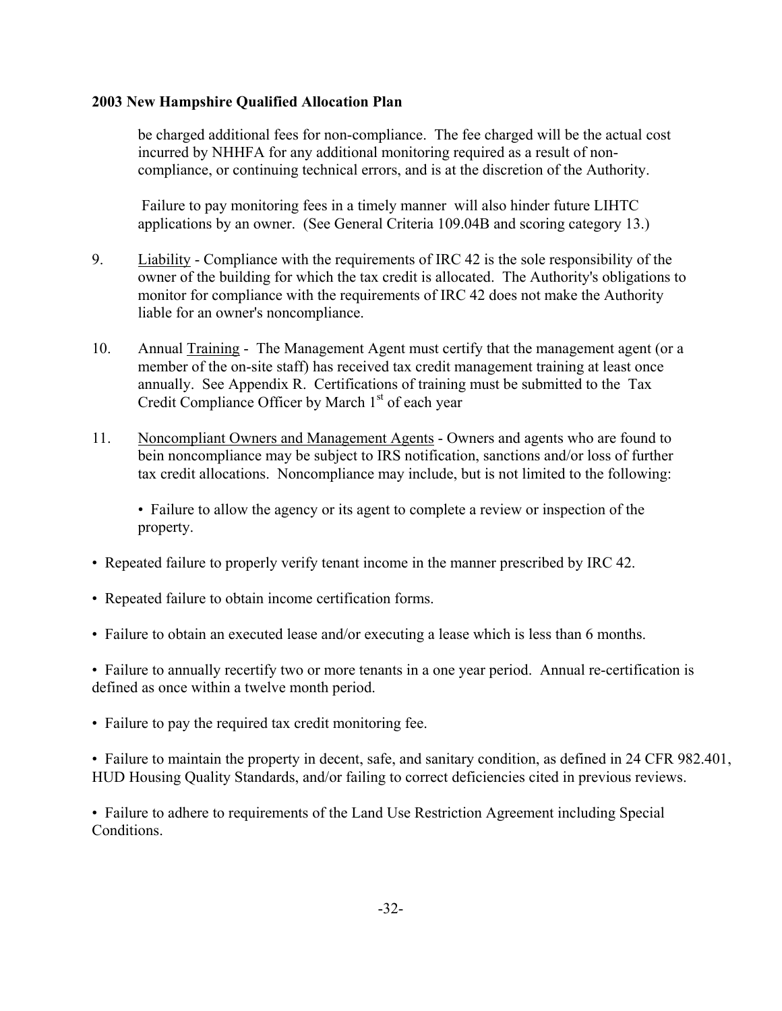be charged additional fees for non-compliance. The fee charged will be the actual cost incurred by NHHFA for any additional monitoring required as a result of noncompliance, or continuing technical errors, and is at the discretion of the Authority.

 Failure to pay monitoring fees in a timely manner will also hinder future LIHTC applications by an owner. (See General Criteria 109.04B and scoring category 13.)

- 9. Liability Compliance with the requirements of IRC 42 is the sole responsibility of the owner of the building for which the tax credit is allocated. The Authority's obligations to monitor for compliance with the requirements of IRC 42 does not make the Authority liable for an owner's noncompliance.
- 10. Annual Training The Management Agent must certify that the management agent (or a member of the on-site staff) has received tax credit management training at least once annually. See Appendix R. Certifications of training must be submitted to the Tax Credit Compliance Officer by March 1<sup>st</sup> of each year
- 11. Noncompliant Owners and Management Agents Owners and agents who are found to bein noncompliance may be subject to IRS notification, sanctions and/or loss of further tax credit allocations. Noncompliance may include, but is not limited to the following:

• Failure to allow the agency or its agent to complete a review or inspection of the property.

- Repeated failure to properly verify tenant income in the manner prescribed by IRC 42.
- Repeated failure to obtain income certification forms.
- Failure to obtain an executed lease and/or executing a lease which is less than 6 months.

• Failure to annually recertify two or more tenants in a one year period. Annual re-certification is defined as once within a twelve month period.

• Failure to pay the required tax credit monitoring fee.

• Failure to maintain the property in decent, safe, and sanitary condition, as defined in 24 CFR 982.401, HUD Housing Quality Standards, and/or failing to correct deficiencies cited in previous reviews.

• Failure to adhere to requirements of the Land Use Restriction Agreement including Special Conditions.